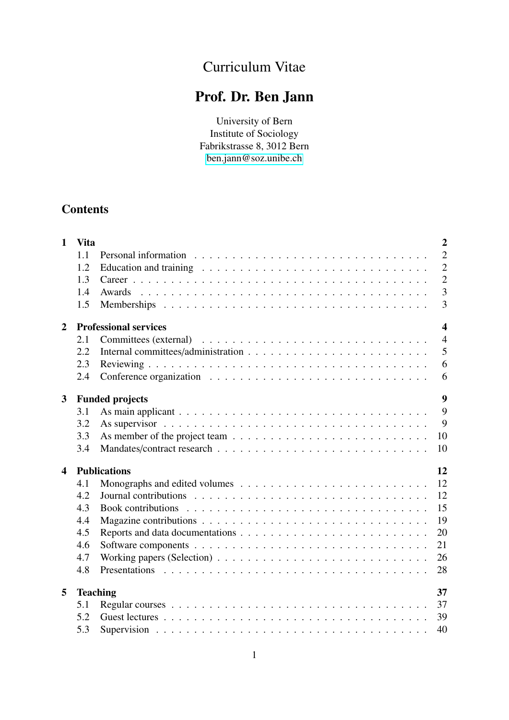# Curriculum Vitae

# Prof. Dr. Ben Jann

University of Bern Institute of Sociology Fabrikstrasse 8, 3012 Bern [ben.jann@soz.unibe.ch](mailto:ben.jann@soz.unibe.ch)

# **Contents**

| $\mathbf{1}$     | <b>Vita</b> | $\overline{2}$                                                                                           |  |  |  |  |  |  |  |
|------------------|-------------|----------------------------------------------------------------------------------------------------------|--|--|--|--|--|--|--|
|                  | 1.1         | $\overline{2}$                                                                                           |  |  |  |  |  |  |  |
|                  | 1.2         | $\overline{2}$                                                                                           |  |  |  |  |  |  |  |
|                  | 1.3         | $\overline{2}$                                                                                           |  |  |  |  |  |  |  |
|                  | 1.4         | $\overline{3}$                                                                                           |  |  |  |  |  |  |  |
|                  | 1.5         | 3                                                                                                        |  |  |  |  |  |  |  |
| $\mathbf{2}$     |             | $\overline{\mathbf{4}}$<br><b>Professional services</b>                                                  |  |  |  |  |  |  |  |
|                  | 2.1         | $\overline{4}$                                                                                           |  |  |  |  |  |  |  |
|                  | 2.2         | 5                                                                                                        |  |  |  |  |  |  |  |
|                  | 2.3         | 6                                                                                                        |  |  |  |  |  |  |  |
|                  | 2.4         | 6                                                                                                        |  |  |  |  |  |  |  |
| 3                |             | 9<br><b>Funded projects</b>                                                                              |  |  |  |  |  |  |  |
|                  | 3.1         | 9                                                                                                        |  |  |  |  |  |  |  |
|                  | 3.2         | 9<br>As supervisor $\ldots \ldots \ldots \ldots \ldots \ldots \ldots \ldots \ldots \ldots \ldots$        |  |  |  |  |  |  |  |
|                  | 3.3         | 10                                                                                                       |  |  |  |  |  |  |  |
|                  | 3.4         | 10                                                                                                       |  |  |  |  |  |  |  |
| $\blacktriangle$ |             | 12<br><b>Publications</b>                                                                                |  |  |  |  |  |  |  |
|                  | 4.1         | 12                                                                                                       |  |  |  |  |  |  |  |
|                  | 4.2         | 12                                                                                                       |  |  |  |  |  |  |  |
|                  | 4.3         | 15                                                                                                       |  |  |  |  |  |  |  |
|                  | 4.4         | 19                                                                                                       |  |  |  |  |  |  |  |
|                  | 4.5         | 20                                                                                                       |  |  |  |  |  |  |  |
|                  | 4.6         | 21                                                                                                       |  |  |  |  |  |  |  |
|                  | 4.7         | 26<br>Working papers (Selection) $\ldots \ldots \ldots \ldots \ldots \ldots \ldots \ldots \ldots \ldots$ |  |  |  |  |  |  |  |
|                  | 4.8         | 28                                                                                                       |  |  |  |  |  |  |  |
| 5                |             | 37<br><b>Teaching</b>                                                                                    |  |  |  |  |  |  |  |
|                  | 5.1         | 37                                                                                                       |  |  |  |  |  |  |  |
|                  | 5.2         | 39                                                                                                       |  |  |  |  |  |  |  |
|                  | 5.3         | 40                                                                                                       |  |  |  |  |  |  |  |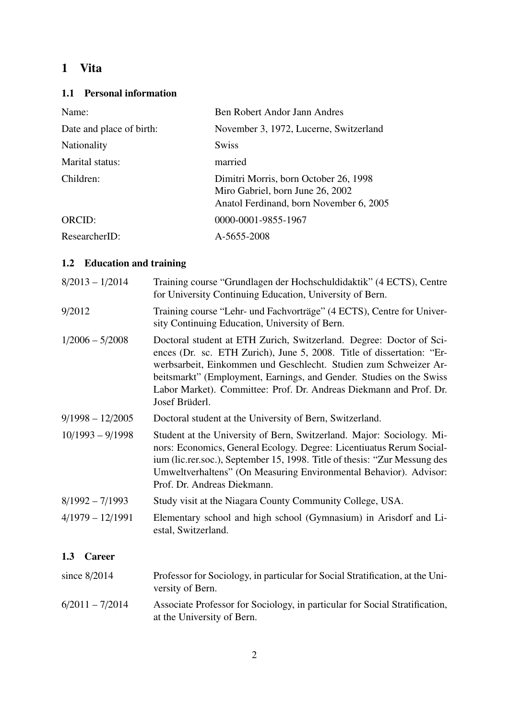# <span id="page-1-0"></span>1 Vita

# <span id="page-1-1"></span>1.1 Personal information

| Name:                    | <b>Ben Robert Andor Jann Andres</b>                                                                                  |
|--------------------------|----------------------------------------------------------------------------------------------------------------------|
| Date and place of birth: | November 3, 1972, Lucerne, Switzerland                                                                               |
| Nationality              | <b>Swiss</b>                                                                                                         |
| Marital status:          | married                                                                                                              |
| Children:                | Dimitri Morris, born October 26, 1998<br>Miro Gabriel, born June 26, 2002<br>Anatol Ferdinand, born November 6, 2005 |
| ORCID:                   | 0000-0001-9855-1967                                                                                                  |
| ResearcherID:            | A-5655-2008                                                                                                          |

# <span id="page-1-2"></span>1.2 Education and training

<span id="page-1-3"></span>

| $8/2013 - 1/2014$    | Training course "Grundlagen der Hochschuldidaktik" (4 ECTS), Centre<br>for University Continuing Education, University of Bern.                                                                                                                                                                                                                                                 |
|----------------------|---------------------------------------------------------------------------------------------------------------------------------------------------------------------------------------------------------------------------------------------------------------------------------------------------------------------------------------------------------------------------------|
| 9/2012               | Training course "Lehr- und Fachvorträge" (4 ECTS), Centre for Univer-<br>sity Continuing Education, University of Bern.                                                                                                                                                                                                                                                         |
| $1/2006 - 5/2008$    | Doctoral student at ETH Zurich, Switzerland. Degree: Doctor of Sci-<br>ences (Dr. sc. ETH Zurich), June 5, 2008. Title of dissertation: "Er-<br>werbsarbeit, Einkommen und Geschlecht. Studien zum Schweizer Ar-<br>beitsmarkt" (Employment, Earnings, and Gender. Studies on the Swiss<br>Labor Market). Committee: Prof. Dr. Andreas Diekmann and Prof. Dr.<br>Josef Brüderl. |
| $9/1998 - 12/2005$   | Doctoral student at the University of Bern, Switzerland.                                                                                                                                                                                                                                                                                                                        |
| $10/1993 - 9/1998$   | Student at the University of Bern, Switzerland. Major: Sociology. Mi-<br>nors: Economics, General Ecology. Degree: Licentiuatus Rerum Social-<br>ium (lic.rer.soc.), September 15, 1998. Title of thesis: "Zur Messung des<br>Umweltverhaltens" (On Measuring Environmental Behavior). Advisor:<br>Prof. Dr. Andreas Diekmann.                                                  |
| $8/1992 - 7/1993$    | Study visit at the Niagara County Community College, USA.                                                                                                                                                                                                                                                                                                                       |
| $4/1979 - 12/1991$   | Elementary school and high school (Gymnasium) in Arisdorf and Li-<br>estal, Switzerland.                                                                                                                                                                                                                                                                                        |
| 1.3<br><b>Career</b> |                                                                                                                                                                                                                                                                                                                                                                                 |
| since $8/2014$       | Professor for Sociology, in particular for Social Stratification, at the Uni-<br>versity of Bern.                                                                                                                                                                                                                                                                               |
| $6/2011 - 7/2014$    | Associate Professor for Sociology, in particular for Social Stratification,<br>at the University of Bern.                                                                                                                                                                                                                                                                       |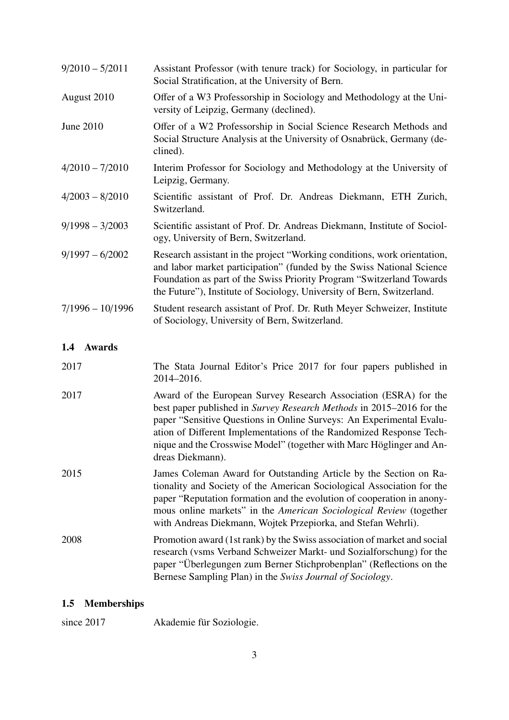| $9/2010 - 5/2011$    | Assistant Professor (with tenure track) for Sociology, in particular for<br>Social Stratification, at the University of Bern.                                                                                                                                                                                                                                                       |
|----------------------|-------------------------------------------------------------------------------------------------------------------------------------------------------------------------------------------------------------------------------------------------------------------------------------------------------------------------------------------------------------------------------------|
| August 2010          | Offer of a W3 Professorship in Sociology and Methodology at the Uni-<br>versity of Leipzig, Germany (declined).                                                                                                                                                                                                                                                                     |
| June 2010            | Offer of a W2 Professorship in Social Science Research Methods and<br>Social Structure Analysis at the University of Osnabrück, Germany (de-<br>clined).                                                                                                                                                                                                                            |
| $4/2010 - 7/2010$    | Interim Professor for Sociology and Methodology at the University of<br>Leipzig, Germany.                                                                                                                                                                                                                                                                                           |
| $4/2003 - 8/2010$    | Scientific assistant of Prof. Dr. Andreas Diekmann, ETH Zurich,<br>Switzerland.                                                                                                                                                                                                                                                                                                     |
| $9/1998 - 3/2003$    | Scientific assistant of Prof. Dr. Andreas Diekmann, Institute of Sociol-<br>ogy, University of Bern, Switzerland.                                                                                                                                                                                                                                                                   |
| $9/1997 - 6/2002$    | Research assistant in the project "Working conditions, work orientation,<br>and labor market participation" (funded by the Swiss National Science<br>Foundation as part of the Swiss Priority Program "Switzerland Towards<br>the Future"), Institute of Sociology, University of Bern, Switzerland.                                                                                |
| $7/1996 - 10/1996$   | Student research assistant of Prof. Dr. Ruth Meyer Schweizer, Institute<br>of Sociology, University of Bern, Switzerland.                                                                                                                                                                                                                                                           |
| 1.4<br><b>Awards</b> |                                                                                                                                                                                                                                                                                                                                                                                     |
| 2017                 | The Stata Journal Editor's Price 2017 for four papers published in<br>2014-2016.                                                                                                                                                                                                                                                                                                    |
| 2017                 | Award of the European Survey Research Association (ESRA) for the<br>best paper published in Survey Research Methods in 2015–2016 for the<br>paper "Sensitive Questions in Online Surveys: An Experimental Evalu-<br>ation of Different Implementations of the Randomized Response Tech-<br>nique and the Crosswise Model" (together with Marc Höglinger and An-<br>dreas Diekmann). |
| 2015                 | James Coleman Award for Outstanding Article by the Section on Ra-<br>tionality and Society of the American Sociological Association for the<br>paper "Reputation formation and the evolution of cooperation in anony-<br>mous online markets" in the American Sociological Review (together                                                                                         |

<span id="page-2-0"></span>2008 Promotion award (1st rank) by the Swiss association of market and social research (vsms Verband Schweizer Markt- und Sozialforschung) for the paper "Überlegungen zum Berner Stichprobenplan" (Reflections on the Bernese Sampling Plan) in the *Swiss Journal of Sociology*.

with Andreas Diekmann, Wojtek Przepiorka, and Stefan Wehrli).

### <span id="page-2-1"></span>1.5 Memberships

since 2017 Akademie für Soziologie.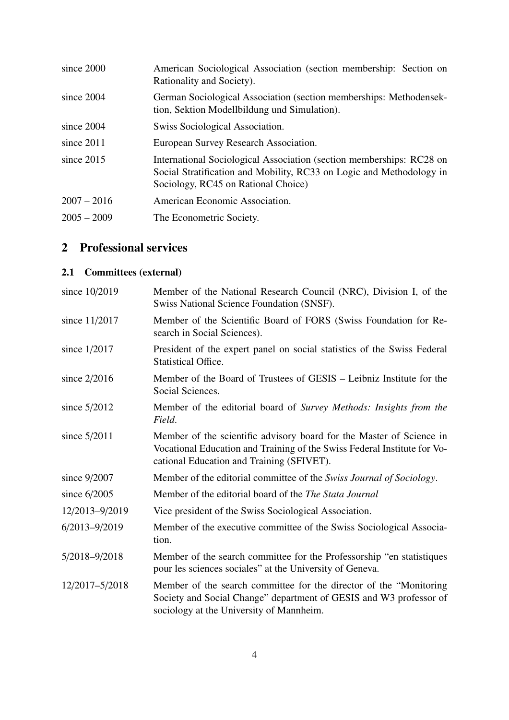| since 2000    | American Sociological Association (section membership: Section on<br>Rationality and Society).                                                                                      |
|---------------|-------------------------------------------------------------------------------------------------------------------------------------------------------------------------------------|
| since $2004$  | German Sociological Association (section memberships: Methodensek-<br>tion, Sektion Modellbildung und Simulation).                                                                  |
| since 2004    | Swiss Sociological Association.                                                                                                                                                     |
| since $2011$  | European Survey Research Association.                                                                                                                                               |
| since $2015$  | International Sociological Association (section memberships: RC28 on<br>Social Stratification and Mobility, RC33 on Logic and Methodology in<br>Sociology, RC45 on Rational Choice) |
| $2007 - 2016$ | American Economic Association.                                                                                                                                                      |
| $2005 - 2009$ | The Econometric Society.                                                                                                                                                            |

# <span id="page-3-0"></span>2 Professional services

# <span id="page-3-1"></span>2.1 Committees (external)

| since 10/2019     | Member of the National Research Council (NRC), Division I, of the<br>Swiss National Science Foundation (SNSF).                                                                                |
|-------------------|-----------------------------------------------------------------------------------------------------------------------------------------------------------------------------------------------|
| since 11/2017     | Member of the Scientific Board of FORS (Swiss Foundation for Re-<br>search in Social Sciences).                                                                                               |
| since $1/2017$    | President of the expert panel on social statistics of the Swiss Federal<br><b>Statistical Office.</b>                                                                                         |
| since $2/2016$    | Member of the Board of Trustees of GESIS – Leibniz Institute for the<br>Social Sciences.                                                                                                      |
| since $5/2012$    | Member of the editorial board of Survey Methods: Insights from the<br>Field.                                                                                                                  |
| since $5/2011$    | Member of the scientific advisory board for the Master of Science in<br>Vocational Education and Training of the Swiss Federal Institute for Vo-<br>cational Education and Training (SFIVET). |
| since $9/2007$    | Member of the editorial committee of the Swiss Journal of Sociology.                                                                                                                          |
| since $6/2005$    | Member of the editorial board of the <i>The Stata Journal</i>                                                                                                                                 |
| 12/2013-9/2019    | Vice president of the Swiss Sociological Association.                                                                                                                                         |
| $6/2013 - 9/2019$ | Member of the executive committee of the Swiss Sociological Associa-<br>tion.                                                                                                                 |
| 5/2018-9/2018     | Member of the search committee for the Professorship "en statistiques"<br>pour les sciences sociales" at the University of Geneva.                                                            |
| 12/2017-5/2018    | Member of the search committee for the director of the "Monitoring"<br>Society and Social Change" department of GESIS and W3 professor of<br>sociology at the University of Mannheim.         |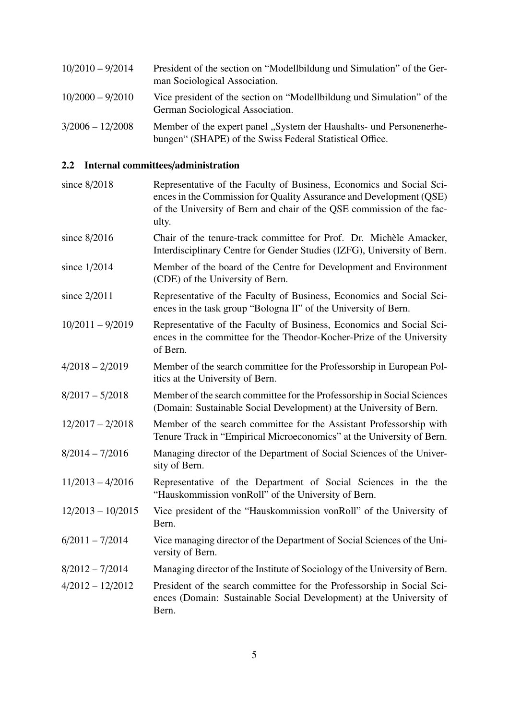| $10/2010 - 9/2014$ | President of the section on "Modellbildung und Simulation" of the Ger-<br>man Sociological Association.                         |
|--------------------|---------------------------------------------------------------------------------------------------------------------------------|
| $10/2000 - 9/2010$ | Vice president of the section on "Modellbildung und Simulation" of the<br>German Sociological Association.                      |
| $3/2006 - 12/2008$ | Member of the expert panel "System der Haushalts- und Personenerhe-<br>bungen" (SHAPE) of the Swiss Federal Statistical Office. |

# <span id="page-4-0"></span>2.2 Internal committees/administration

| since 8/2018        | Representative of the Faculty of Business, Economics and Social Sci-<br>ences in the Commission for Quality Assurance and Development (QSE)<br>of the University of Bern and chair of the QSE commission of the fac-<br>ulty. |  |  |  |
|---------------------|-------------------------------------------------------------------------------------------------------------------------------------------------------------------------------------------------------------------------------|--|--|--|
| since $8/2016$      | Chair of the tenure-track committee for Prof. Dr. Michèle Amacker,<br>Interdisciplinary Centre for Gender Studies (IZFG), University of Bern.                                                                                 |  |  |  |
| since $1/2014$      | Member of the board of the Centre for Development and Environment<br>(CDE) of the University of Bern.                                                                                                                         |  |  |  |
| since 2/2011        | Representative of the Faculty of Business, Economics and Social Sci-<br>ences in the task group "Bologna II" of the University of Bern.                                                                                       |  |  |  |
| $10/2011 - 9/2019$  | Representative of the Faculty of Business, Economics and Social Sci-<br>ences in the committee for the Theodor-Kocher-Prize of the University<br>of Bern.                                                                     |  |  |  |
| $4/2018 - 2/2019$   | Member of the search committee for the Professorship in European Pol-<br>itics at the University of Bern.                                                                                                                     |  |  |  |
| $8/2017 - 5/2018$   | Member of the search committee for the Professorship in Social Sciences<br>(Domain: Sustainable Social Development) at the University of Bern.                                                                                |  |  |  |
| $12/2017 - 2/2018$  | Member of the search committee for the Assistant Professorship with<br>Tenure Track in "Empirical Microeconomics" at the University of Bern.                                                                                  |  |  |  |
| $8/2014 - 7/2016$   | Managing director of the Department of Social Sciences of the Univer-<br>sity of Bern.                                                                                                                                        |  |  |  |
| $11/2013 - 4/2016$  | Representative of the Department of Social Sciences in the the<br>"Hauskommission vonRoll" of the University of Bern.                                                                                                         |  |  |  |
| $12/2013 - 10/2015$ | Vice president of the "Hauskommission vonRoll" of the University of<br>Bern.                                                                                                                                                  |  |  |  |
| $6/2011 - 7/2014$   | Vice managing director of the Department of Social Sciences of the Uni-<br>versity of Bern.                                                                                                                                   |  |  |  |
| $8/2012 - 7/2014$   | Managing director of the Institute of Sociology of the University of Bern.                                                                                                                                                    |  |  |  |
| $4/2012 - 12/2012$  | President of the search committee for the Professorship in Social Sci-<br>ences (Domain: Sustainable Social Development) at the University of<br>Bern.                                                                        |  |  |  |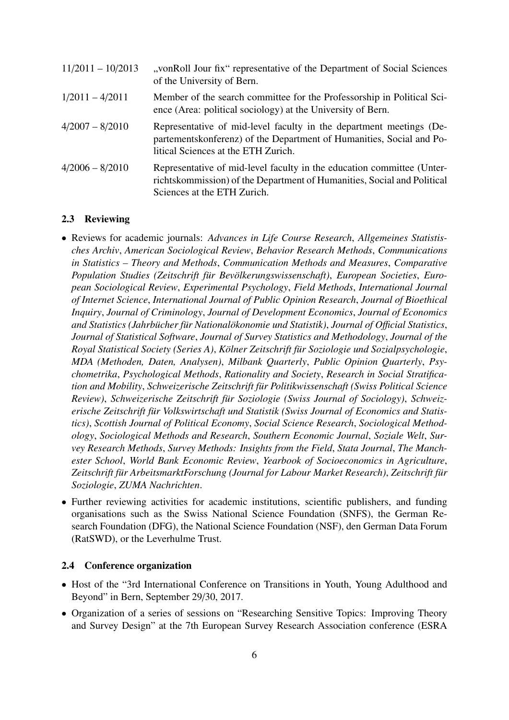| $11/2011 - 10/2013$ | "vonRoll Jour fix" representative of the Department of Social Sciences<br>of the University of Bern.                                                                               |
|---------------------|------------------------------------------------------------------------------------------------------------------------------------------------------------------------------------|
| $1/2011 - 4/2011$   | Member of the search committee for the Professorship in Political Sci-<br>ence (Area: political sociology) at the University of Bern.                                              |
| $4/2007 - 8/2010$   | Representative of mid-level faculty in the department meetings (De-<br>partementskonferenz) of the Department of Humanities, Social and Po-<br>litical Sciences at the ETH Zurich. |
| $4/2006 - 8/2010$   | Representative of mid-level faculty in the education committee (Unter-<br>richtskommission) of the Department of Humanities, Social and Political<br>Sciences at the ETH Zurich.   |

#### <span id="page-5-0"></span>2.3 Reviewing

- Reviews for academic journals: *Advances in Life Course Research*, *Allgemeines Statistisches Archiv*, *American Sociological Review*, *Behavior Research Methods*, *Communications in Statistics – Theory and Methods*, *Communication Methods and Measures*, *Comparative Population Studies (Zeitschrift für Bevölkerungswissenschaft)*, *European Societies*, *European Sociological Review*, *Experimental Psychology*, *Field Methods*, *International Journal of Internet Science*, *International Journal of Public Opinion Research*, *Journal of Bioethical Inquiry*, *Journal of Criminology*, *Journal of Development Economics*, *Journal of Economics and Statistics (Jahrbücher für Nationalökonomie und Statistik)*, *Journal of O*ffi*cial Statistics*, *Journal of Statistical Software*, *Journal of Survey Statistics and Methodology*, *Journal of the Royal Statistical Society (Series A)*, *Kölner Zeitschrift für Soziologie und Sozialpsychologie*, *MDA (Methoden, Daten, Analysen)*, *Milbank Quarterly*, *Public Opinion Quarterly*, *Psychometrika*, *Psychological Methods*, *Rationality and Society*, *Research in Social Stratification and Mobility*, *Schweizerische Zeitschrift für Politikwissenschaft (Swiss Political Science Review)*, *Schweizerische Zeitschrift für Soziologie (Swiss Journal of Sociology)*, *Schweizerische Zeitschrift für Volkswirtschaft und Statistik (Swiss Journal of Economics and Statistics)*, *Scottish Journal of Political Economy*, *Social Science Research*, *Sociological Methodology*, *Sociological Methods and Research*, *Southern Economic Journal*, *Soziale Welt*, *Survey Research Methods*, *Survey Methods: Insights from the Field*, *Stata Journal*, *The Manchester School*, *World Bank Economic Review*, *Yearbook of Socioeconomics in Agriculture*, *Zeitschrift für ArbeitsmarktForschung (Journal for Labour Market Research)*, *Zeitschrift für Soziologie*, *ZUMA Nachrichten*.
- Further reviewing activities for academic institutions, scientific publishers, and funding organisations such as the Swiss National Science Foundation (SNFS), the German Research Foundation (DFG), the National Science Foundation (NSF), den German Data Forum (RatSWD), or the Leverhulme Trust.

#### <span id="page-5-1"></span>2.4 Conference organization

- Host of the "3rd International Conference on Transitions in Youth, Young Adulthood and Beyond" in Bern, September 29/30, 2017.
- Organization of a series of sessions on "Researching Sensitive Topics: Improving Theory and Survey Design" at the 7th European Survey Research Association conference (ESRA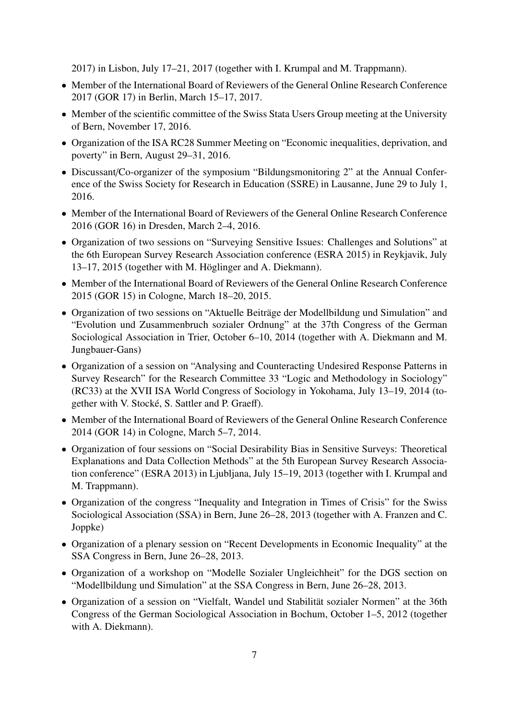2017) in Lisbon, July 17–21, 2017 (together with I. Krumpal and M. Trappmann).

- Member of the International Board of Reviewers of the General Online Research Conference 2017 (GOR 17) in Berlin, March 15–17, 2017.
- Member of the scientific committee of the Swiss Stata Users Group meeting at the University of Bern, November 17, 2016.
- Organization of the ISA RC28 Summer Meeting on "Economic inequalities, deprivation, and poverty" in Bern, August 29–31, 2016.
- Discussant/Co-organizer of the symposium "Bildungsmonitoring 2" at the Annual Conference of the Swiss Society for Research in Education (SSRE) in Lausanne, June 29 to July 1, 2016.
- Member of the International Board of Reviewers of the General Online Research Conference 2016 (GOR 16) in Dresden, March 2–4, 2016.
- Organization of two sessions on "Surveying Sensitive Issues: Challenges and Solutions" at the 6th European Survey Research Association conference (ESRA 2015) in Reykjavik, July 13–17, 2015 (together with M. Höglinger and A. Diekmann).
- Member of the International Board of Reviewers of the General Online Research Conference 2015 (GOR 15) in Cologne, March 18–20, 2015.
- Organization of two sessions on "Aktuelle Beiträge der Modellbildung und Simulation" and "Evolution und Zusammenbruch sozialer Ordnung" at the 37th Congress of the German Sociological Association in Trier, October 6–10, 2014 (together with A. Diekmann and M. Jungbauer-Gans)
- Organization of a session on "Analysing and Counteracting Undesired Response Patterns in Survey Research" for the Research Committee 33 "Logic and Methodology in Sociology" (RC33) at the XVII ISA World Congress of Sociology in Yokohama, July 13–19, 2014 (together with V. Stocké, S. Sattler and P. Graeff).
- Member of the International Board of Reviewers of the General Online Research Conference 2014 (GOR 14) in Cologne, March 5–7, 2014.
- Organization of four sessions on "Social Desirability Bias in Sensitive Surveys: Theoretical Explanations and Data Collection Methods" at the 5th European Survey Research Association conference" (ESRA 2013) in Ljubljana, July 15–19, 2013 (together with I. Krumpal and M. Trappmann).
- Organization of the congress "Inequality and Integration in Times of Crisis" for the Swiss Sociological Association (SSA) in Bern, June 26–28, 2013 (together with A. Franzen and C. Joppke)
- Organization of a plenary session on "Recent Developments in Economic Inequality" at the SSA Congress in Bern, June 26–28, 2013.
- Organization of a workshop on "Modelle Sozialer Ungleichheit" for the DGS section on "Modellbildung und Simulation" at the SSA Congress in Bern, June 26–28, 2013.
- Organization of a session on "Vielfalt, Wandel und Stabilität sozialer Normen" at the 36th Congress of the German Sociological Association in Bochum, October 1–5, 2012 (together with A. Diekmann).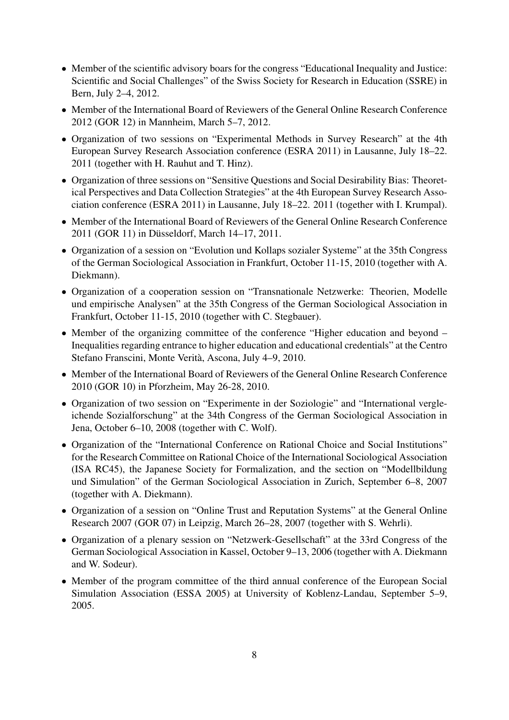- Member of the scientific advisory boars for the congress "Educational Inequality and Justice: Scientific and Social Challenges" of the Swiss Society for Research in Education (SSRE) in Bern, July 2–4, 2012.
- Member of the International Board of Reviewers of the General Online Research Conference 2012 (GOR 12) in Mannheim, March 5–7, 2012.
- Organization of two sessions on "Experimental Methods in Survey Research" at the 4th European Survey Research Association conference (ESRA 2011) in Lausanne, July 18–22. 2011 (together with H. Rauhut and T. Hinz).
- Organization of three sessions on "Sensitive Questions and Social Desirability Bias: Theoretical Perspectives and Data Collection Strategies" at the 4th European Survey Research Association conference (ESRA 2011) in Lausanne, July 18–22. 2011 (together with I. Krumpal).
- Member of the International Board of Reviewers of the General Online Research Conference 2011 (GOR 11) in Düsseldorf, March 14–17, 2011.
- Organization of a session on "Evolution und Kollaps sozialer Systeme" at the 35th Congress of the German Sociological Association in Frankfurt, October 11-15, 2010 (together with A. Diekmann).
- Organization of a cooperation session on "Transnationale Netzwerke: Theorien, Modelle und empirische Analysen" at the 35th Congress of the German Sociological Association in Frankfurt, October 11-15, 2010 (together with C. Stegbauer).
- Member of the organizing committee of the conference "Higher education and beyond Inequalities regarding entrance to higher education and educational credentials" at the Centro Stefano Franscini, Monte Verità, Ascona, July 4–9, 2010.
- Member of the International Board of Reviewers of the General Online Research Conference 2010 (GOR 10) in Pforzheim, May 26-28, 2010.
- Organization of two session on "Experimente in der Soziologie" and "International vergleichende Sozialforschung" at the 34th Congress of the German Sociological Association in Jena, October 6–10, 2008 (together with C. Wolf).
- Organization of the "International Conference on Rational Choice and Social Institutions" for the Research Committee on Rational Choice of the International Sociological Association (ISA RC45), the Japanese Society for Formalization, and the section on "Modellbildung und Simulation" of the German Sociological Association in Zurich, September 6–8, 2007 (together with A. Diekmann).
- Organization of a session on "Online Trust and Reputation Systems" at the General Online Research 2007 (GOR 07) in Leipzig, March 26–28, 2007 (together with S. Wehrli).
- Organization of a plenary session on "Netzwerk-Gesellschaft" at the 33rd Congress of the German Sociological Association in Kassel, October 9–13, 2006 (together with A. Diekmann and W. Sodeur).
- Member of the program committee of the third annual conference of the European Social Simulation Association (ESSA 2005) at University of Koblenz-Landau, September 5–9, 2005.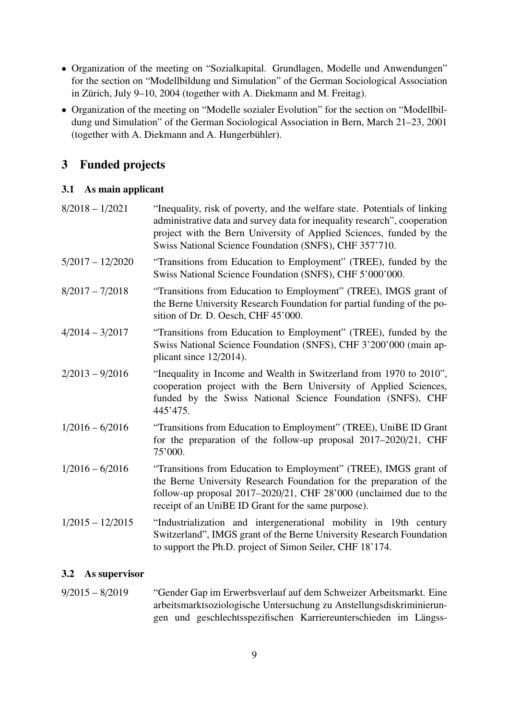- Organization of the meeting on "Sozialkapital. Grundlagen, Modelle und Anwendungen" for the section on "Modellbildung und Simulation" of the German Sociological Association in Zürich, July 9–10, 2004 (together with A. Diekmann and M. Freitag).
- Organization of the meeting on "Modelle sozialer Evolution" for the section on "Modellbildung und Simulation" of the German Sociological Association in Bern, March 21–23, 2001 (together with A. Diekmann and A. Hungerbühler).

# <span id="page-8-0"></span>3 Funded projects

### <span id="page-8-1"></span>3.1 As main applicant

| $8/2018 - 1/2021$  | "Inequality, risk of poverty, and the welfare state. Potentials of linking<br>administrative data and survey data for inequality research", cooperation<br>project with the Bern University of Applied Sciences, funded by the<br>Swiss National Science Foundation (SNFS), CHF 357'710. |
|--------------------|------------------------------------------------------------------------------------------------------------------------------------------------------------------------------------------------------------------------------------------------------------------------------------------|
| $5/2017 - 12/2020$ | "Transitions from Education to Employment" (TREE), funded by the<br>Swiss National Science Foundation (SNFS), CHF 5'000'000.                                                                                                                                                             |
| $8/2017 - 7/2018$  | "Transitions from Education to Employment" (TREE), IMGS grant of<br>the Berne University Research Foundation for partial funding of the po-<br>sition of Dr. D. Oesch, CHF 45'000.                                                                                                       |
| $4/2014 - 3/2017$  | "Transitions from Education to Employment" (TREE), funded by the<br>Swiss National Science Foundation (SNFS), CHF 3'200'000 (main ap-<br>plicant since $12/2014$ ).                                                                                                                      |
| $2/2013 - 9/2016$  | "Inequality in Income and Wealth in Switzerland from 1970 to 2010",<br>cooperation project with the Bern University of Applied Sciences,<br>funded by the Swiss National Science Foundation (SNFS), CHF<br>445'475.                                                                      |
| $1/2016 - 6/2016$  | "Transitions from Education to Employment" (TREE), UniBE ID Grant<br>for the preparation of the follow-up proposal $2017-2020/21$ , CHF<br>75'000.                                                                                                                                       |
| $1/2016 - 6/2016$  | "Transitions from Education to Employment" (TREE), IMGS grant of<br>the Berne University Research Foundation for the preparation of the<br>follow-up proposal $2017-2020/21$ , CHF $28'000$ (unclaimed due to the<br>receipt of an UniBE ID Grant for the same purpose).                 |
| $1/2015 - 12/2015$ | "Industrialization and intergenerational mobility in 19th century<br>Switzerland", IMGS grant of the Berne University Research Foundation<br>to support the Ph.D. project of Simon Seiler, CHF 18'174.                                                                                   |

## <span id="page-8-2"></span>3.2 As supervisor

| $9/2015 - 8/2019$ |  | "Gender Gap im Erwerbsverlauf auf dem Schweizer Arbeitsmarkt. Eine   |  |  |
|-------------------|--|----------------------------------------------------------------------|--|--|
|                   |  | arbeitsmarktsoziologische Untersuchung zu Anstellungsdiskriminierun- |  |  |
|                   |  | gen und geschlechtsspezifischen Karriereunterschieden im Längss-     |  |  |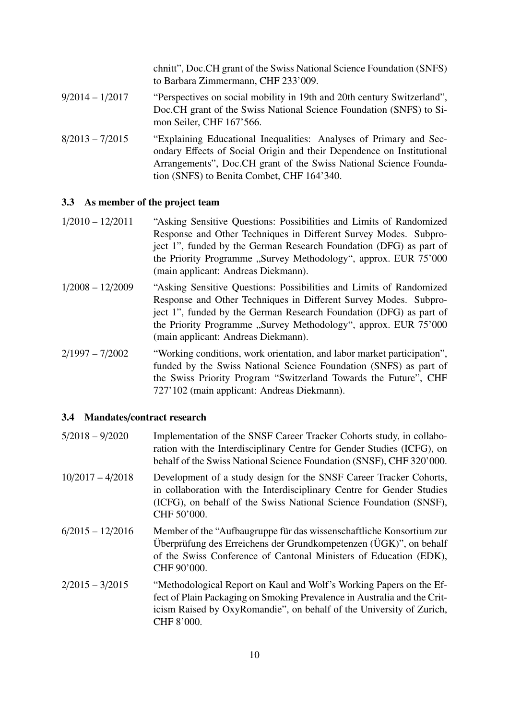chnitt", Doc.CH grant of the Swiss National Science Foundation (SNFS) to Barbara Zimmermann, CHF 233'009.

- 9/2014 1/2017 "Perspectives on social mobility in 19th and 20th century Switzerland", Doc.CH grant of the Swiss National Science Foundation (SNFS) to Simon Seiler, CHF 167'566.
- 8/2013 7/2015 "Explaining Educational Inequalities: Analyses of Primary and Secondary Effects of Social Origin and their Dependence on Institutional Arrangements", Doc.CH grant of the Swiss National Science Foundation (SNFS) to Benita Combet, CHF 164'340.

### <span id="page-9-0"></span>3.3 As member of the project team

- 1/2010 12/2011 "Asking Sensitive Questions: Possibilities and Limits of Randomized Response and Other Techniques in Different Survey Modes. Subproject 1", funded by the German Research Foundation (DFG) as part of the Priority Programme "Survey Methodology", approx. EUR 75'000 (main applicant: Andreas Diekmann).
- 1/2008 12/2009 "Asking Sensitive Questions: Possibilities and Limits of Randomized Response and Other Techniques in Different Survey Modes. Subproject 1", funded by the German Research Foundation (DFG) as part of the Priority Programme "Survey Methodology", approx. EUR 75'000 (main applicant: Andreas Diekmann).
- 2/1997 7/2002 "Working conditions, work orientation, and labor market participation", funded by the Swiss National Science Foundation (SNFS) as part of the Swiss Priority Program "Switzerland Towards the Future", CHF 727'102 (main applicant: Andreas Diekmann).

### <span id="page-9-1"></span>3.4 Mandates/contract research

| $5/2018 - 9/2020$  | Implementation of the SNSF Career Tracker Cohorts study, in collabo-<br>ration with the Interdisciplinary Centre for Gender Studies (ICFG), on<br>behalf of the Swiss National Science Foundation (SNSF), CHF 320'000.                |
|--------------------|---------------------------------------------------------------------------------------------------------------------------------------------------------------------------------------------------------------------------------------|
| $10/2017 - 4/2018$ | Development of a study design for the SNSF Career Tracker Cohorts,<br>in collaboration with the Interdisciplinary Centre for Gender Studies<br>(ICFG), on behalf of the Swiss National Science Foundation (SNSF),<br>CHF 50'000.      |
| $6/2015 - 12/2016$ | Member of the "Aufbaugruppe für das wissenschaftliche Konsortium zur<br>Überprüfung des Erreichens der Grundkompetenzen (ÜGK)", on behalf<br>of the Swiss Conference of Cantonal Ministers of Education (EDK),<br>CHF 90'000.         |
| $2/2015 - 3/2015$  | "Methodological Report on Kaul and Wolf's Working Papers on the Ef-<br>fect of Plain Packaging on Smoking Prevalence in Australia and the Crit-<br>icism Raised by OxyRomandie", on behalf of the University of Zurich,<br>CHF 8'000. |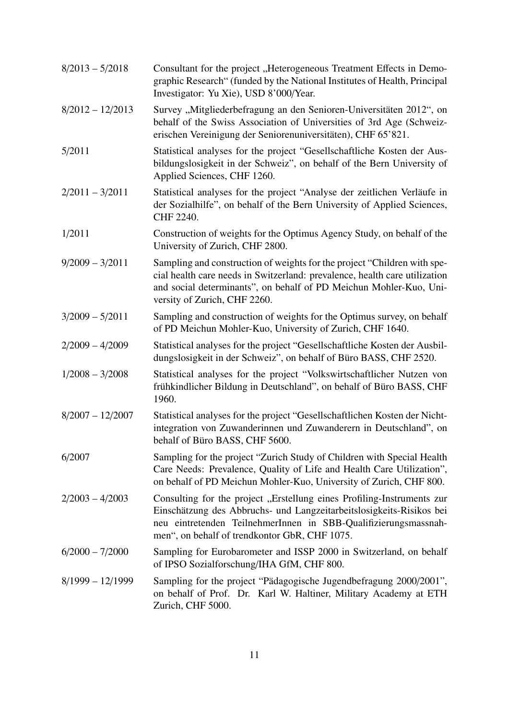| $8/2013 - 5/2018$  | Consultant for the project "Heterogeneous Treatment Effects in Demo-<br>graphic Research" (funded by the National Institutes of Health, Principal<br>Investigator: Yu Xie), USD 8'000/Year.                                                                        |
|--------------------|--------------------------------------------------------------------------------------------------------------------------------------------------------------------------------------------------------------------------------------------------------------------|
| $8/2012 - 12/2013$ | Survey "Mitgliederbefragung an den Senioren-Universitäten 2012", on<br>behalf of the Swiss Association of Universities of 3rd Age (Schweiz-<br>erischen Vereinigung der Seniorenuniversitäten), CHF 65'821.                                                        |
| 5/2011             | Statistical analyses for the project "Gesellschaftliche Kosten der Aus-<br>bildungslosigkeit in der Schweiz", on behalf of the Bern University of<br>Applied Sciences, CHF 1260.                                                                                   |
| $2/2011 - 3/2011$  | Statistical analyses for the project "Analyse der zeitlichen Verläufe in<br>der Sozialhilfe", on behalf of the Bern University of Applied Sciences,<br>CHF 2240.                                                                                                   |
| 1/2011             | Construction of weights for the Optimus Agency Study, on behalf of the<br>University of Zurich, CHF 2800.                                                                                                                                                          |
| $9/2009 - 3/2011$  | Sampling and construction of weights for the project "Children with spe-<br>cial health care needs in Switzerland: prevalence, health care utilization<br>and social determinants", on behalf of PD Meichun Mohler-Kuo, Uni-<br>versity of Zurich, CHF 2260.       |
| $3/2009 - 5/2011$  | Sampling and construction of weights for the Optimus survey, on behalf<br>of PD Meichun Mohler-Kuo, University of Zurich, CHF 1640.                                                                                                                                |
| $2/2009 - 4/2009$  | Statistical analyses for the project "Gesellschaftliche Kosten der Ausbil-<br>dungslosigkeit in der Schweiz", on behalf of Büro BASS, CHF 2520.                                                                                                                    |
| $1/2008 - 3/2008$  | Statistical analyses for the project "Volkswirtschaftlicher Nutzen von<br>frühkindlicher Bildung in Deutschland", on behalf of Büro BASS, CHF<br>1960.                                                                                                             |
| $8/2007 - 12/2007$ | Statistical analyses for the project "Gesellschaftlichen Kosten der Nicht-<br>integration von Zuwanderinnen und Zuwanderern in Deutschland", on<br>behalf of Büro BASS, CHF 5600.                                                                                  |
| 6/2007             | Sampling for the project "Zurich Study of Children with Special Health<br>Care Needs: Prevalence, Quality of Life and Health Care Utilization",<br>on behalf of PD Meichun Mohler-Kuo, University of Zurich, CHF 800.                                              |
| $2/2003 - 4/2003$  | Consulting for the project "Erstellung eines Profiling-Instruments zur<br>Einschätzung des Abbruchs- und Langzeitarbeitslosigkeits-Risikos bei<br>neu eintretenden TeilnehmerInnen in SBB-Qualifizierungsmassnah-<br>men", on behalf of trendkontor GbR, CHF 1075. |
| $6/2000 - 7/2000$  | Sampling for Eurobarometer and ISSP 2000 in Switzerland, on behalf<br>of IPSO Sozialforschung/IHA GfM, CHF 800.                                                                                                                                                    |
| $8/1999 - 12/1999$ | Sampling for the project "Pädagogische Jugendbefragung 2000/2001",<br>on behalf of Prof. Dr. Karl W. Haltiner, Military Academy at ETH<br>Zurich, CHF 5000.                                                                                                        |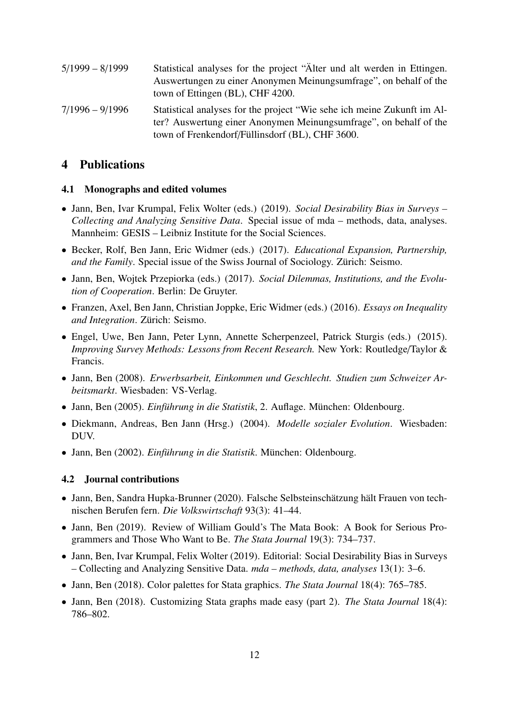| $5/1999 - 8/1999$ | Statistical analyses for the project "Alter und alt werden in Ettingen.<br>Auswertungen zu einer Anonymen Meinungsumfrage", on behalf of the<br>town of Ettingen (BL), CHF 4200.                |
|-------------------|-------------------------------------------------------------------------------------------------------------------------------------------------------------------------------------------------|
| $7/1996 - 9/1996$ | Statistical analyses for the project "Wie sehe ich meine Zukunft im Al-<br>ter? Auswertung einer Anonymen Meinungsumfrage", on behalf of the<br>town of Frenkendorf/Füllinsdorf (BL), CHF 3600. |

# <span id="page-11-0"></span>4 Publications

#### <span id="page-11-1"></span>4.1 Monographs and edited volumes

- Jann, Ben, Ivar Krumpal, Felix Wolter (eds.) (2019). *Social Desirability Bias in Surveys – Collecting and Analyzing Sensitive Data*. Special issue of mda – methods, data, analyses. Mannheim: GESIS – Leibniz Institute for the Social Sciences.
- Becker, Rolf, Ben Jann, Eric Widmer (eds.) (2017). *Educational Expansion, Partnership, and the Family*. Special issue of the Swiss Journal of Sociology. Zürich: Seismo.
- Jann, Ben, Wojtek Przepiorka (eds.) (2017). *Social Dilemmas, Institutions, and the Evolution of Cooperation*. Berlin: De Gruyter.
- Franzen, Axel, Ben Jann, Christian Joppke, Eric Widmer (eds.) (2016). *Essays on Inequality and Integration*. Zürich: Seismo.
- Engel, Uwe, Ben Jann, Peter Lynn, Annette Scherpenzeel, Patrick Sturgis (eds.) (2015). *Improving Survey Methods: Lessons from Recent Research.* New York: Routledge/Taylor & Francis.
- Jann, Ben (2008). *Erwerbsarbeit, Einkommen und Geschlecht. Studien zum Schweizer Arbeitsmarkt*. Wiesbaden: VS-Verlag.
- Jann, Ben (2005). *Einführung in die Statistik*, 2. Auflage. München: Oldenbourg.
- Diekmann, Andreas, Ben Jann (Hrsg.) (2004). *Modelle sozialer Evolution*. Wiesbaden: DUV.
- Jann, Ben (2002). *Einführung in die Statistik*. München: Oldenbourg.

#### <span id="page-11-2"></span>4.2 Journal contributions

- Jann, Ben, Sandra Hupka-Brunner (2020). Falsche Selbsteinschätzung hält Frauen von technischen Berufen fern. *Die Volkswirtschaft* 93(3): 41–44.
- Jann, Ben (2019). Review of William Gould's The Mata Book: A Book for Serious Programmers and Those Who Want to Be. *The Stata Journal* 19(3): 734–737.
- Jann, Ben, Ivar Krumpal, Felix Wolter (2019). Editorial: Social Desirability Bias in Surveys – Collecting and Analyzing Sensitive Data. *mda – methods, data, analyses* 13(1): 3–6.
- Jann, Ben (2018). Color palettes for Stata graphics. *The Stata Journal* 18(4): 765–785.
- Jann, Ben (2018). Customizing Stata graphs made easy (part 2). *The Stata Journal* 18(4): 786–802.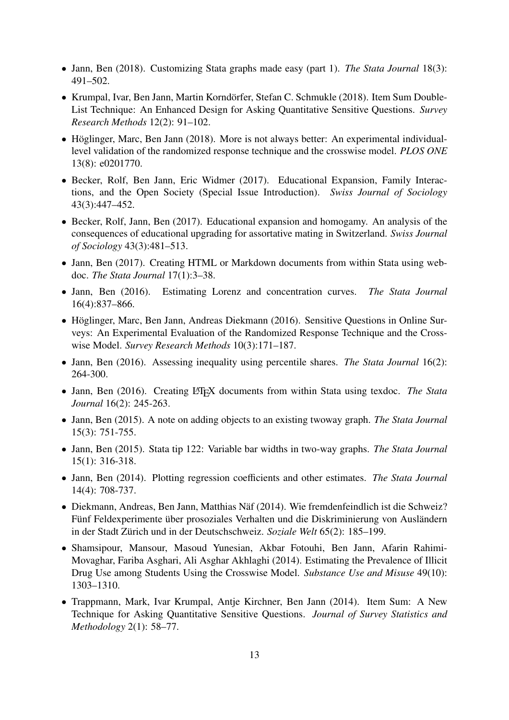- Jann, Ben (2018). Customizing Stata graphs made easy (part 1). *The Stata Journal* 18(3): 491–502.
- Krumpal, Ivar, Ben Jann, Martin Korndörfer, Stefan C. Schmukle (2018). Item Sum Double-List Technique: An Enhanced Design for Asking Quantitative Sensitive Questions. *Survey Research Methods* 12(2): 91–102.
- Höglinger, Marc, Ben Jann (2018). More is not always better: An experimental individuallevel validation of the randomized response technique and the crosswise model. *PLOS ONE* 13(8): e0201770.
- Becker, Rolf, Ben Jann, Eric Widmer (2017). Educational Expansion, Family Interactions, and the Open Society (Special Issue Introduction). *Swiss Journal of Sociology* 43(3):447–452.
- Becker, Rolf, Jann, Ben (2017). Educational expansion and homogamy. An analysis of the consequences of educational upgrading for assortative mating in Switzerland. *Swiss Journal of Sociology* 43(3):481–513.
- Jann, Ben (2017). Creating HTML or Markdown documents from within Stata using webdoc. *The Stata Journal* 17(1):3–38.
- Jann, Ben (2016). Estimating Lorenz and concentration curves. *The Stata Journal* 16(4):837–866.
- Höglinger, Marc, Ben Jann, Andreas Diekmann (2016). Sensitive Questions in Online Surveys: An Experimental Evaluation of the Randomized Response Technique and the Crosswise Model. *Survey Research Methods* 10(3):171–187.
- Jann, Ben (2016). Assessing inequality using percentile shares. *The Stata Journal* 16(2): 264-300.
- Jann, Ben (2016). Creating L<sup>AT</sup>EX documents from within Stata using texdoc. *The Stata Journal* 16(2): 245-263.
- Jann, Ben (2015). A note on adding objects to an existing twoway graph. *The Stata Journal* 15(3): 751-755.
- Jann, Ben (2015). Stata tip 122: Variable bar widths in two-way graphs. *The Stata Journal* 15(1): 316-318.
- Jann, Ben (2014). Plotting regression coefficients and other estimates. *The Stata Journal* 14(4): 708-737.
- Diekmann, Andreas, Ben Jann, Matthias Näf (2014). Wie fremdenfeindlich ist die Schweiz? Fünf Feldexperimente über prosoziales Verhalten und die Diskriminierung von Ausländern in der Stadt Zürich und in der Deutschschweiz. *Soziale Welt* 65(2): 185–199.
- Shamsipour, Mansour, Masoud Yunesian, Akbar Fotouhi, Ben Jann, Afarin Rahimi-Movaghar, Fariba Asghari, Ali Asghar Akhlaghi (2014). Estimating the Prevalence of Illicit Drug Use among Students Using the Crosswise Model. *Substance Use and Misuse* 49(10): 1303–1310.
- Trappmann, Mark, Ivar Krumpal, Antje Kirchner, Ben Jann (2014). Item Sum: A New Technique for Asking Quantitative Sensitive Questions. *Journal of Survey Statistics and Methodology* 2(1): 58–77.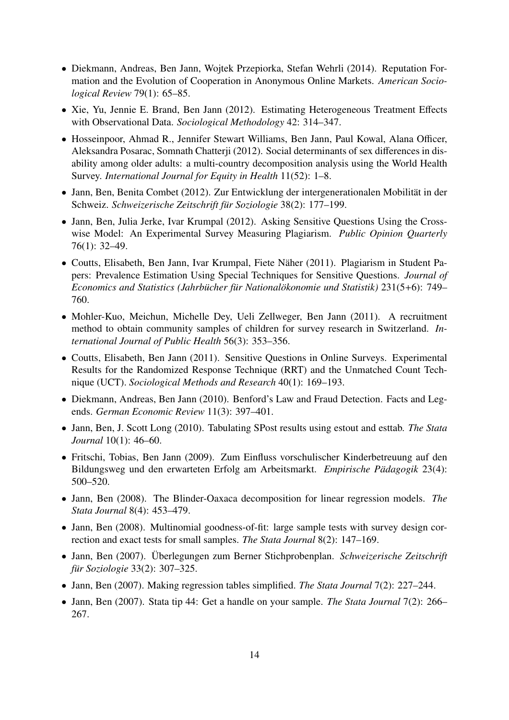- Diekmann, Andreas, Ben Jann, Wojtek Przepiorka, Stefan Wehrli (2014). Reputation Formation and the Evolution of Cooperation in Anonymous Online Markets. *American Sociological Review* 79(1): 65–85.
- Xie, Yu, Jennie E. Brand, Ben Jann (2012). Estimating Heterogeneous Treatment Effects with Observational Data. *Sociological Methodology* 42: 314–347.
- Hosseinpoor, Ahmad R., Jennifer Stewart Williams, Ben Jann, Paul Kowal, Alana Officer, Aleksandra Posarac, Somnath Chatterji (2012). Social determinants of sex differences in disability among older adults: a multi-country decomposition analysis using the World Health Survey. *International Journal for Equity in Health* 11(52): 1–8.
- Jann, Ben, Benita Combet (2012). Zur Entwicklung der intergenerationalen Mobilität in der Schweiz. *Schweizerische Zeitschrift für Soziologie* 38(2): 177–199.
- Jann, Ben, Julia Jerke, Ivar Krumpal (2012). Asking Sensitive Questions Using the Crosswise Model: An Experimental Survey Measuring Plagiarism. *Public Opinion Quarterly* 76(1): 32–49.
- Coutts, Elisabeth, Ben Jann, Ivar Krumpal, Fiete Näher (2011). Plagiarism in Student Papers: Prevalence Estimation Using Special Techniques for Sensitive Questions. *Journal of Economics and Statistics (Jahrbücher für Nationalökonomie und Statistik)* 231(5+6): 749– 760.
- Mohler-Kuo, Meichun, Michelle Dey, Ueli Zellweger, Ben Jann (2011). A recruitment method to obtain community samples of children for survey research in Switzerland. *International Journal of Public Health* 56(3): 353–356.
- Coutts, Elisabeth, Ben Jann (2011). Sensitive Questions in Online Surveys. Experimental Results for the Randomized Response Technique (RRT) and the Unmatched Count Technique (UCT). *Sociological Methods and Research* 40(1): 169–193.
- Diekmann, Andreas, Ben Jann (2010). Benford's Law and Fraud Detection. Facts and Legends. *German Economic Review* 11(3): 397–401.
- Jann, Ben, J. Scott Long (2010). Tabulating SPost results using estout and esttab. *The Stata Journal* 10(1): 46–60.
- Fritschi, Tobias, Ben Jann (2009). Zum Einfluss vorschulischer Kinderbetreuung auf den Bildungsweg und den erwarteten Erfolg am Arbeitsmarkt. *Empirische Pädagogik* 23(4): 500–520.
- Jann, Ben (2008). The Blinder-Oaxaca decomposition for linear regression models. *The Stata Journal* 8(4): 453–479.
- Jann, Ben (2008). Multinomial goodness-of-fit: large sample tests with survey design correction and exact tests for small samples. *The Stata Journal* 8(2): 147–169.
- Jann, Ben (2007). Überlegungen zum Berner Stichprobenplan. *Schweizerische Zeitschrift für Soziologie* 33(2): 307–325.
- Jann, Ben (2007). Making regression tables simplified. *The Stata Journal* 7(2): 227–244.
- Jann, Ben (2007). Stata tip 44: Get a handle on your sample. *The Stata Journal* 7(2): 266– 267.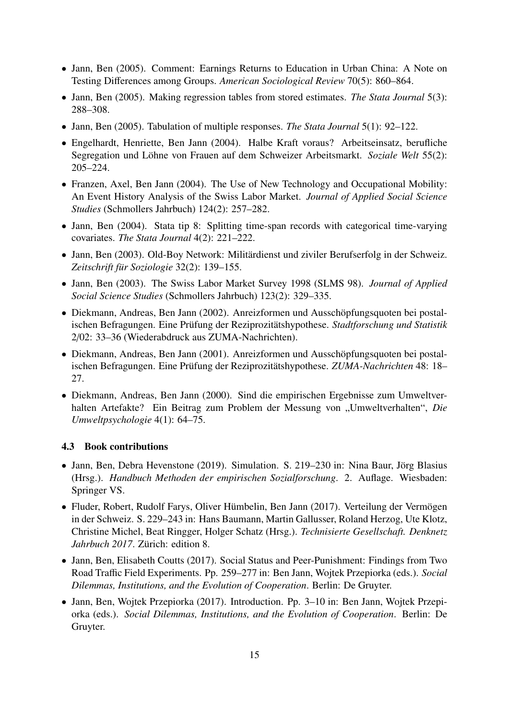- Jann, Ben (2005). Comment: Earnings Returns to Education in Urban China: A Note on Testing Differences among Groups. *American Sociological Review* 70(5): 860–864.
- Jann, Ben (2005). Making regression tables from stored estimates. *The Stata Journal* 5(3): 288–308.
- Jann, Ben (2005). Tabulation of multiple responses. *The Stata Journal* 5(1): 92–122.
- Engelhardt, Henriette, Ben Jann (2004). Halbe Kraft voraus? Arbeitseinsatz, berufliche Segregation und Löhne von Frauen auf dem Schweizer Arbeitsmarkt. *Soziale Welt* 55(2): 205–224.
- Franzen, Axel, Ben Jann (2004). The Use of New Technology and Occupational Mobility: An Event History Analysis of the Swiss Labor Market. *Journal of Applied Social Science Studies* (Schmollers Jahrbuch) 124(2): 257–282.
- Jann, Ben (2004). Stata tip 8: Splitting time-span records with categorical time-varying covariates. *The Stata Journal* 4(2): 221–222.
- Jann, Ben (2003). Old-Boy Network: Militärdienst und ziviler Berufserfolg in der Schweiz. *Zeitschrift für Soziologie* 32(2): 139–155.
- Jann, Ben (2003). The Swiss Labor Market Survey 1998 (SLMS 98). *Journal of Applied Social Science Studies* (Schmollers Jahrbuch) 123(2): 329–335.
- Diekmann, Andreas, Ben Jann (2002). Anreizformen und Ausschöpfungsquoten bei postalischen Befragungen. Eine Prüfung der Reziprozitätshypothese. *Stadtforschung und Statistik* 2/02: 33–36 (Wiederabdruck aus ZUMA-Nachrichten).
- Diekmann, Andreas, Ben Jann (2001). Anreizformen und Ausschöpfungsquoten bei postalischen Befragungen. Eine Prüfung der Reziprozitätshypothese. *ZUMA-Nachrichten* 48: 18– 27.
- Diekmann, Andreas, Ben Jann (2000). Sind die empirischen Ergebnisse zum Umweltverhalten Artefakte? Ein Beitrag zum Problem der Messung von "Umweltverhalten", *Die Umweltpsychologie* 4(1): 64–75.

#### <span id="page-14-0"></span>4.3 Book contributions

- Jann, Ben, Debra Hevenstone (2019). Simulation. S. 219–230 in: Nina Baur, Jörg Blasius (Hrsg.). *Handbuch Methoden der empirischen Sozialforschung*. 2. Auflage. Wiesbaden: Springer VS.
- Fluder, Robert, Rudolf Farys, Oliver Hümbelin, Ben Jann (2017). Verteilung der Vermögen in der Schweiz. S. 229–243 in: Hans Baumann, Martin Gallusser, Roland Herzog, Ute Klotz, Christine Michel, Beat Ringger, Holger Schatz (Hrsg.). *Technisierte Gesellschaft. Denknetz Jahrbuch 2017*. Zürich: edition 8.
- Jann, Ben, Elisabeth Coutts (2017). Social Status and Peer-Punishment: Findings from Two Road Traffic Field Experiments. Pp. 259–277 in: Ben Jann, Wojtek Przepiorka (eds.). *Social Dilemmas, Institutions, and the Evolution of Cooperation*. Berlin: De Gruyter.
- Jann, Ben, Wojtek Przepiorka (2017). Introduction. Pp. 3–10 in: Ben Jann, Wojtek Przepiorka (eds.). *Social Dilemmas, Institutions, and the Evolution of Cooperation*. Berlin: De Gruyter.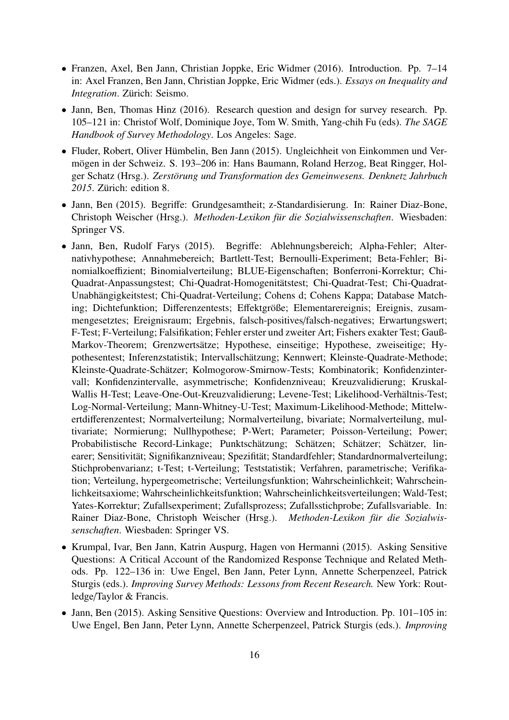- Franzen, Axel, Ben Jann, Christian Joppke, Eric Widmer (2016). Introduction. Pp. 7–14 in: Axel Franzen, Ben Jann, Christian Joppke, Eric Widmer (eds.). *Essays on Inequality and Integration*. Zürich: Seismo.
- Jann, Ben, Thomas Hinz (2016). Research question and design for survey research. Pp. 105–121 in: Christof Wolf, Dominique Joye, Tom W. Smith, Yang-chih Fu (eds). *The SAGE Handbook of Survey Methodology*. Los Angeles: Sage.
- Fluder, Robert, Oliver Hümbelin, Ben Jann (2015). Ungleichheit von Einkommen und Vermögen in der Schweiz. S. 193–206 in: Hans Baumann, Roland Herzog, Beat Ringger, Holger Schatz (Hrsg.). *Zerstörung und Transformation des Gemeinwesens. Denknetz Jahrbuch 2015*. Zürich: edition 8.
- Jann, Ben (2015). Begriffe: Grundgesamtheit; z-Standardisierung. In: Rainer Diaz-Bone, Christoph Weischer (Hrsg.). *Methoden-Lexikon für die Sozialwissenschaften*. Wiesbaden: Springer VS.
- Jann, Ben, Rudolf Farys (2015). Begriffe: Ablehnungsbereich; Alpha-Fehler; Alternativhypothese; Annahmebereich; Bartlett-Test; Bernoulli-Experiment; Beta-Fehler; Binomialkoeffizient; Binomialverteilung; BLUE-Eigenschaften; Bonferroni-Korrektur; Chi-Quadrat-Anpassungstest; Chi-Quadrat-Homogenitätstest; Chi-Quadrat-Test; Chi-Quadrat-Unabhängigkeitstest; Chi-Quadrat-Verteilung; Cohens d; Cohens Kappa; Database Matching; Dichtefunktion; Differenzentests; Effektgröße; Elementarereignis; Ereignis, zusammengesetztes; Ereignisraum; Ergebnis, falsch-positives/falsch-negatives; Erwartungswert; F-Test; F-Verteilung; Falsifikation; Fehler erster und zweiter Art; Fishers exakter Test; Gauß-Markov-Theorem; Grenzwertsätze; Hypothese, einseitige; Hypothese, zweiseitige; Hypothesentest; Inferenzstatistik; Intervallschätzung; Kennwert; Kleinste-Quadrate-Methode; Kleinste-Quadrate-Schätzer; Kolmogorow-Smirnow-Tests; Kombinatorik; Konfidenzintervall; Konfidenzintervalle, asymmetrische; Konfidenzniveau; Kreuzvalidierung; Kruskal-Wallis H-Test; Leave-One-Out-Kreuzvalidierung; Levene-Test; Likelihood-Verhältnis-Test; Log-Normal-Verteilung; Mann-Whitney-U-Test; Maximum-Likelihood-Methode; Mittelwertdifferenzentest; Normalverteilung; Normalverteilung, bivariate; Normalverteilung, multivariate; Normierung; Nullhypothese; P-Wert; Parameter; Poisson-Verteilung; Power; Probabilistische Record-Linkage; Punktschätzung; Schätzen; Schätzer; Schätzer, linearer; Sensitivität; Signifikanzniveau; Spezifität; Standardfehler; Standardnormalverteilung; Stichprobenvarianz; t-Test; t-Verteilung; Teststatistik; Verfahren, parametrische; Verifikation; Verteilung, hypergeometrische; Verteilungsfunktion; Wahrscheinlichkeit; Wahrscheinlichkeitsaxiome; Wahrscheinlichkeitsfunktion; Wahrscheinlichkeitsverteilungen; Wald-Test; Yates-Korrektur; Zufallsexperiment; Zufallsprozess; Zufallsstichprobe; Zufallsvariable. In: Rainer Diaz-Bone, Christoph Weischer (Hrsg.). *Methoden-Lexikon für die Sozialwissenschaften*. Wiesbaden: Springer VS.
- Krumpal, Ivar, Ben Jann, Katrin Auspurg, Hagen von Hermanni (2015). Asking Sensitive Questions: A Critical Account of the Randomized Response Technique and Related Methods. Pp. 122–136 in: Uwe Engel, Ben Jann, Peter Lynn, Annette Scherpenzeel, Patrick Sturgis (eds.). *Improving Survey Methods: Lessons from Recent Research.* New York: Routledge/Taylor & Francis.
- Jann, Ben (2015). Asking Sensitive Questions: Overview and Introduction. Pp. 101–105 in: Uwe Engel, Ben Jann, Peter Lynn, Annette Scherpenzeel, Patrick Sturgis (eds.). *Improving*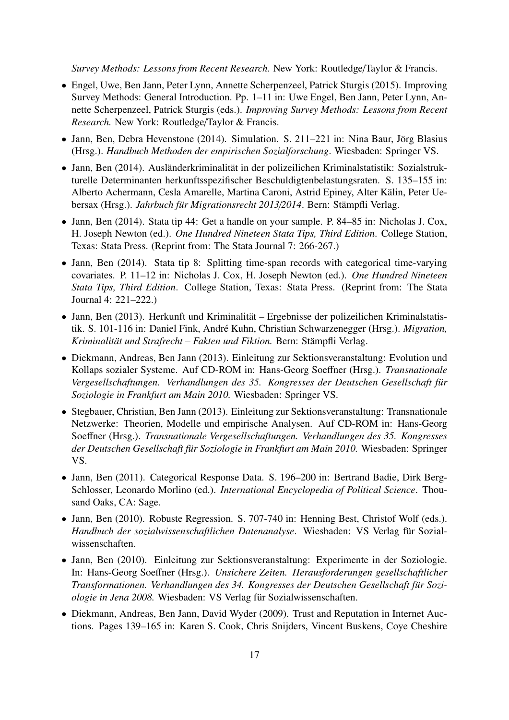*Survey Methods: Lessons from Recent Research.* New York: Routledge/Taylor & Francis.

- Engel, Uwe, Ben Jann, Peter Lynn, Annette Scherpenzeel, Patrick Sturgis (2015). Improving Survey Methods: General Introduction. Pp. 1–11 in: Uwe Engel, Ben Jann, Peter Lynn, Annette Scherpenzeel, Patrick Sturgis (eds.). *Improving Survey Methods: Lessons from Recent Research.* New York: Routledge/Taylor & Francis.
- Jann, Ben, Debra Hevenstone (2014). Simulation. S. 211–221 in: Nina Baur, Jörg Blasius (Hrsg.). *Handbuch Methoden der empirischen Sozialforschung*. Wiesbaden: Springer VS.
- Jann, Ben (2014). Ausländerkriminalität in der polizeilichen Kriminalstatistik: Sozialstrukturelle Determinanten herkunftsspezifischer Beschuldigtenbelastungsraten. S. 135–155 in: Alberto Achermann, Cesla Amarelle, Martina Caroni, Astrid Epiney, Alter Kälin, Peter Uebersax (Hrsg.). *Jahrbuch für Migrationsrecht 2013*/*2014*. Bern: Stämpfli Verlag.
- Jann, Ben (2014). Stata tip 44: Get a handle on your sample. P. 84–85 in: Nicholas J. Cox, H. Joseph Newton (ed.). *One Hundred Nineteen Stata Tips, Third Edition*. College Station, Texas: Stata Press. (Reprint from: The Stata Journal 7: 266-267.)
- Jann, Ben (2014). Stata tip 8: Splitting time-span records with categorical time-varying covariates. P. 11–12 in: Nicholas J. Cox, H. Joseph Newton (ed.). *One Hundred Nineteen Stata Tips, Third Edition*. College Station, Texas: Stata Press. (Reprint from: The Stata Journal 4: 221–222.)
- Jann, Ben (2013). Herkunft und Kriminalität Ergebnisse der polizeilichen Kriminalstatistik. S. 101-116 in: Daniel Fink, André Kuhn, Christian Schwarzenegger (Hrsg.). *Migration, Kriminalität und Strafrecht – Fakten und Fiktion.* Bern: Stämpfli Verlag.
- Diekmann, Andreas, Ben Jann (2013). Einleitung zur Sektionsveranstaltung: Evolution und Kollaps sozialer Systeme. Auf CD-ROM in: Hans-Georg Soeffner (Hrsg.). *Transnationale Vergesellschaftungen. Verhandlungen des 35. Kongresses der Deutschen Gesellschaft für Soziologie in Frankfurt am Main 2010.* Wiesbaden: Springer VS.
- Stegbauer, Christian, Ben Jann (2013). Einleitung zur Sektionsveranstaltung: Transnationale Netzwerke: Theorien, Modelle und empirische Analysen. Auf CD-ROM in: Hans-Georg Soeffner (Hrsg.). *Transnationale Vergesellschaftungen. Verhandlungen des 35. Kongresses der Deutschen Gesellschaft für Soziologie in Frankfurt am Main 2010.* Wiesbaden: Springer VS.
- Jann, Ben (2011). Categorical Response Data. S. 196–200 in: Bertrand Badie, Dirk Berg-Schlosser, Leonardo Morlino (ed.). *International Encyclopedia of Political Science*. Thousand Oaks, CA: Sage.
- Jann, Ben (2010). Robuste Regression. S. 707-740 in: Henning Best, Christof Wolf (eds.). *Handbuch der sozialwissenschaftlichen Datenanalyse*. Wiesbaden: VS Verlag für Sozialwissenschaften.
- Jann, Ben (2010). Einleitung zur Sektionsveranstaltung: Experimente in der Soziologie. In: Hans-Georg Soeffner (Hrsg.). *Unsichere Zeiten. Herausforderungen gesellschaftlicher Transformationen. Verhandlungen des 34. Kongresses der Deutschen Gesellschaft für Soziologie in Jena 2008.* Wiesbaden: VS Verlag für Sozialwissenschaften.
- Diekmann, Andreas, Ben Jann, David Wyder (2009). Trust and Reputation in Internet Auctions. Pages 139–165 in: Karen S. Cook, Chris Snijders, Vincent Buskens, Coye Cheshire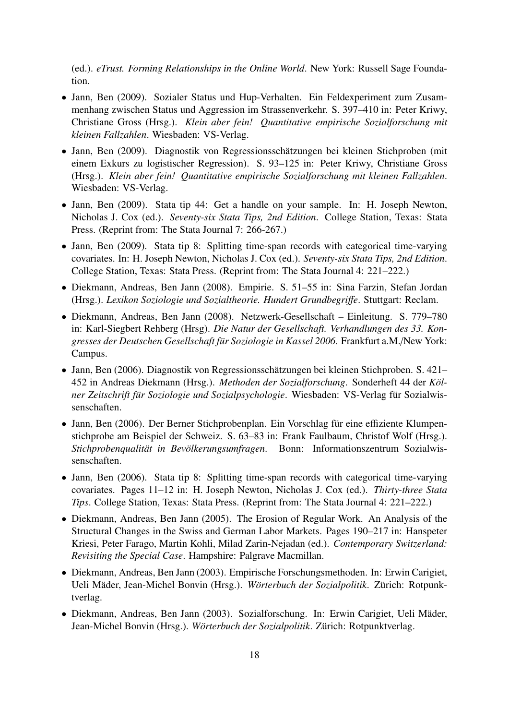(ed.). *eTrust. Forming Relationships in the Online World*. New York: Russell Sage Foundation.

- Jann, Ben (2009). Sozialer Status und Hup-Verhalten. Ein Feldexperiment zum Zusammenhang zwischen Status und Aggression im Strassenverkehr. S. 397–410 in: Peter Kriwy, Christiane Gross (Hrsg.). *Klein aber fein! Quantitative empirische Sozialforschung mit kleinen Fallzahlen*. Wiesbaden: VS-Verlag.
- Jann, Ben (2009). Diagnostik von Regressionsschätzungen bei kleinen Stichproben (mit einem Exkurs zu logistischer Regression). S. 93–125 in: Peter Kriwy, Christiane Gross (Hrsg.). *Klein aber fein! Quantitative empirische Sozialforschung mit kleinen Fallzahlen*. Wiesbaden: VS-Verlag.
- Jann, Ben (2009). Stata tip 44: Get a handle on your sample. In: H. Joseph Newton, Nicholas J. Cox (ed.). *Seventy-six Stata Tips, 2nd Edition*. College Station, Texas: Stata Press. (Reprint from: The Stata Journal 7: 266-267.)
- Jann, Ben (2009). Stata tip 8: Splitting time-span records with categorical time-varying covariates. In: H. Joseph Newton, Nicholas J. Cox (ed.). *Seventy-six Stata Tips, 2nd Edition*. College Station, Texas: Stata Press. (Reprint from: The Stata Journal 4: 221–222.)
- Diekmann, Andreas, Ben Jann (2008). Empirie. S. 51–55 in: Sina Farzin, Stefan Jordan (Hrsg.). *Lexikon Soziologie und Sozialtheorie. Hundert Grundbegri*ff*e*. Stuttgart: Reclam.
- Diekmann, Andreas, Ben Jann (2008). Netzwerk-Gesellschaft Einleitung. S. 779–780 in: Karl-Siegbert Rehberg (Hrsg). *Die Natur der Gesellschaft. Verhandlungen des 33. Kongresses der Deutschen Gesellschaft für Soziologie in Kassel 2006*. Frankfurt a.M./New York: Campus.
- Jann, Ben (2006). Diagnostik von Regressionsschätzungen bei kleinen Stichproben. S. 421– 452 in Andreas Diekmann (Hrsg.). *Methoden der Sozialforschung*. Sonderheft 44 der *Kölner Zeitschrift für Soziologie und Sozialpsychologie*. Wiesbaden: VS-Verlag für Sozialwissenschaften.
- Jann, Ben (2006). Der Berner Stichprobenplan. Ein Vorschlag für eine effiziente Klumpenstichprobe am Beispiel der Schweiz. S. 63–83 in: Frank Faulbaum, Christof Wolf (Hrsg.). *Stichprobenqualität in Bevölkerungsumfragen*. Bonn: Informationszentrum Sozialwissenschaften.
- Jann, Ben (2006). Stata tip 8: Splitting time-span records with categorical time-varying covariates. Pages 11–12 in: H. Joseph Newton, Nicholas J. Cox (ed.). *Thirty-three Stata Tips*. College Station, Texas: Stata Press. (Reprint from: The Stata Journal 4: 221–222.)
- Diekmann, Andreas, Ben Jann (2005). The Erosion of Regular Work. An Analysis of the Structural Changes in the Swiss and German Labor Markets. Pages 190–217 in: Hanspeter Kriesi, Peter Farago, Martin Kohli, Milad Zarin-Nejadan (ed.). *Contemporary Switzerland: Revisiting the Special Case*. Hampshire: Palgrave Macmillan.
- Diekmann, Andreas, Ben Jann (2003). Empirische Forschungsmethoden. In: Erwin Carigiet, Ueli Mäder, Jean-Michel Bonvin (Hrsg.). *Wörterbuch der Sozialpolitik*. Zürich: Rotpunktverlag.
- Diekmann, Andreas, Ben Jann (2003). Sozialforschung. In: Erwin Carigiet, Ueli Mäder, Jean-Michel Bonvin (Hrsg.). *Wörterbuch der Sozialpolitik*. Zürich: Rotpunktverlag.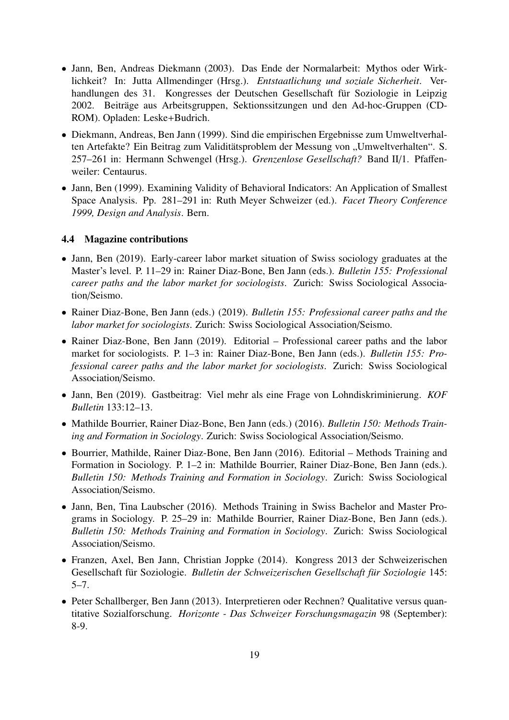- Jann, Ben, Andreas Diekmann (2003). Das Ende der Normalarbeit: Mythos oder Wirklichkeit? In: Jutta Allmendinger (Hrsg.). *Entstaatlichung und soziale Sicherheit*. Verhandlungen des 31. Kongresses der Deutschen Gesellschaft für Soziologie in Leipzig 2002. Beiträge aus Arbeitsgruppen, Sektionssitzungen und den Ad-hoc-Gruppen (CD-ROM). Opladen: Leske+Budrich.
- Diekmann, Andreas, Ben Jann (1999). Sind die empirischen Ergebnisse zum Umweltverhalten Artefakte? Ein Beitrag zum Validitätsproblem der Messung von "Umweltverhalten". S. 257–261 in: Hermann Schwengel (Hrsg.). *Grenzenlose Gesellschaft?* Band II/1. Pfaffenweiler: Centaurus.
- Jann, Ben (1999). Examining Validity of Behavioral Indicators: An Application of Smallest Space Analysis. Pp. 281–291 in: Ruth Meyer Schweizer (ed.). *Facet Theory Conference 1999, Design and Analysis*. Bern.

#### <span id="page-18-0"></span>4.4 Magazine contributions

- Jann, Ben (2019). Early-career labor market situation of Swiss sociology graduates at the Master's level. P. 11–29 in: Rainer Diaz-Bone, Ben Jann (eds.). *Bulletin 155: Professional career paths and the labor market for sociologists*. Zurich: Swiss Sociological Association/Seismo.
- Rainer Diaz-Bone, Ben Jann (eds.) (2019). *Bulletin 155: Professional career paths and the labor market for sociologists*. Zurich: Swiss Sociological Association/Seismo.
- Rainer Diaz-Bone, Ben Jann (2019). Editorial Professional career paths and the labor market for sociologists. P. 1–3 in: Rainer Diaz-Bone, Ben Jann (eds.). *Bulletin 155: Professional career paths and the labor market for sociologists*. Zurich: Swiss Sociological Association/Seismo.
- Jann, Ben (2019). Gastbeitrag: Viel mehr als eine Frage von Lohndiskriminierung. *KOF Bulletin* 133:12–13.
- Mathilde Bourrier, Rainer Diaz-Bone, Ben Jann (eds.) (2016). *Bulletin 150: Methods Training and Formation in Sociology*. Zurich: Swiss Sociological Association/Seismo.
- Bourrier, Mathilde, Rainer Diaz-Bone, Ben Jann (2016). Editorial Methods Training and Formation in Sociology. P. 1–2 in: Mathilde Bourrier, Rainer Diaz-Bone, Ben Jann (eds.). *Bulletin 150: Methods Training and Formation in Sociology*. Zurich: Swiss Sociological Association/Seismo.
- Jann, Ben, Tina Laubscher (2016). Methods Training in Swiss Bachelor and Master Programs in Sociology. P. 25–29 in: Mathilde Bourrier, Rainer Diaz-Bone, Ben Jann (eds.). *Bulletin 150: Methods Training and Formation in Sociology*. Zurich: Swiss Sociological Association/Seismo.
- Franzen, Axel, Ben Jann, Christian Joppke (2014). Kongress 2013 der Schweizerischen Gesellschaft für Soziologie. *Bulletin der Schweizerischen Gesellschaft für Soziologie* 145: 5–7.
- Peter Schallberger, Ben Jann (2013). Interpretieren oder Rechnen? Qualitative versus quantitative Sozialforschung. *Horizonte - Das Schweizer Forschungsmagazin* 98 (September): 8-9.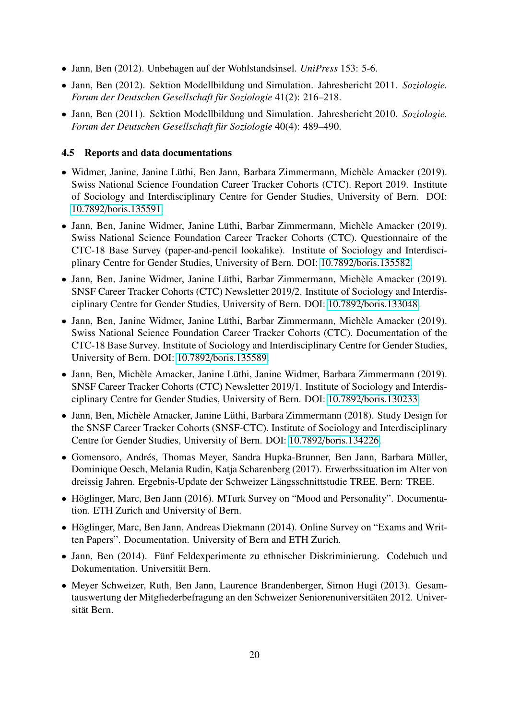- Jann, Ben (2012). Unbehagen auf der Wohlstandsinsel. *UniPress* 153: 5-6.
- Jann, Ben (2012). Sektion Modellbildung und Simulation. Jahresbericht 2011. *Soziologie. Forum der Deutschen Gesellschaft für Soziologie* 41(2): 216–218.
- Jann, Ben (2011). Sektion Modellbildung und Simulation. Jahresbericht 2010. *Soziologie. Forum der Deutschen Gesellschaft für Soziologie* 40(4): 489–490.

#### <span id="page-19-0"></span>4.5 Reports and data documentations

- Widmer, Janine, Janine Lüthi, Ben Jann, Barbara Zimmermann, Michèle Amacker (2019). Swiss National Science Foundation Career Tracker Cohorts (CTC). Report 2019. Institute of Sociology and Interdisciplinary Centre for Gender Studies, University of Bern. DOI: 10.7892/[boris.135591.](http://dx.doi.org/10.7892/boris.135591)
- Jann, Ben, Janine Widmer, Janine Lüthi, Barbar Zimmermann, Michèle Amacker (2019). Swiss National Science Foundation Career Tracker Cohorts (CTC). Questionnaire of the CTC-18 Base Survey (paper-and-pencil lookalike). Institute of Sociology and Interdisciplinary Centre for Gender Studies, University of Bern. DOI: 10.7892/[boris.135582.](http://dx.doi.org/10.7892/boris.135582)
- Jann, Ben, Janine Widmer, Janine Lüthi, Barbar Zimmermann, Michèle Amacker (2019). SNSF Career Tracker Cohorts (CTC) Newsletter 2019/2. Institute of Sociology and Interdisciplinary Centre for Gender Studies, University of Bern. DOI: 10.7892/[boris.133048.](http://dx.doi.org/10.7892/boris.133048)
- Jann, Ben, Janine Widmer, Janine Lüthi, Barbar Zimmermann, Michèle Amacker (2019). Swiss National Science Foundation Career Tracker Cohorts (CTC). Documentation of the CTC-18 Base Survey. Institute of Sociology and Interdisciplinary Centre for Gender Studies, University of Bern. DOI: 10.7892/[boris.135589.](http://dx.doi.org/10.7892/boris.135589)
- Jann, Ben, Michèle Amacker, Janine Lüthi, Janine Widmer, Barbara Zimmermann (2019). SNSF Career Tracker Cohorts (CTC) Newsletter 2019/1. Institute of Sociology and Interdisciplinary Centre for Gender Studies, University of Bern. DOI: 10.7892/[boris.130233.](http://dx.doi.org/10.7892/boris.130233)
- Jann, Ben, Michèle Amacker, Janine Lüthi, Barbara Zimmermann (2018). Study Design for the SNSF Career Tracker Cohorts (SNSF-CTC). Institute of Sociology and Interdisciplinary Centre for Gender Studies, University of Bern. DOI: 10.7892/[boris.134226.](http://dx.doi.org/10.7892/boris.134226)
- Gomensoro, Andrés, Thomas Meyer, Sandra Hupka-Brunner, Ben Jann, Barbara Müller, Dominique Oesch, Melania Rudin, Katja Scharenberg (2017). Erwerbssituation im Alter von dreissig Jahren. Ergebnis-Update der Schweizer Längsschnittstudie TREE. Bern: TREE.
- Höglinger, Marc, Ben Jann (2016). MTurk Survey on "Mood and Personality". Documentation. ETH Zurich and University of Bern.
- Höglinger, Marc, Ben Jann, Andreas Diekmann (2014). Online Survey on "Exams and Written Papers". Documentation. University of Bern and ETH Zurich.
- Jann, Ben (2014). Fünf Feldexperimente zu ethnischer Diskriminierung. Codebuch und Dokumentation. Universität Bern.
- Meyer Schweizer, Ruth, Ben Jann, Laurence Brandenberger, Simon Hugi (2013). Gesamtauswertung der Mitgliederbefragung an den Schweizer Seniorenuniversitäten 2012. Universität Bern.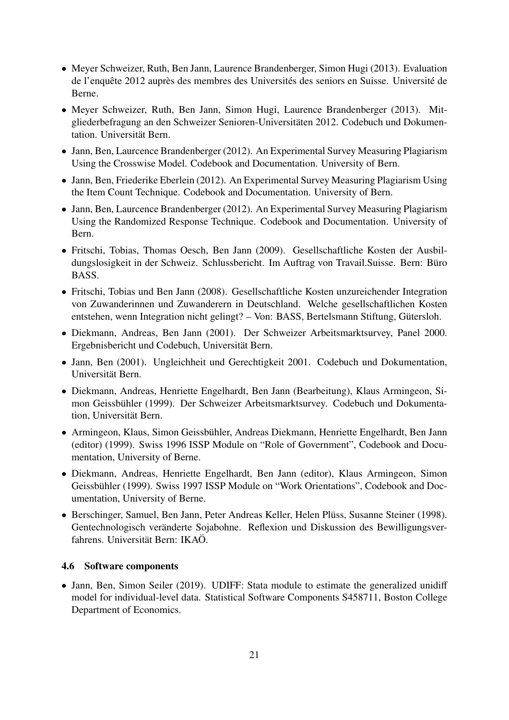- Meyer Schweizer, Ruth, Ben Jann, Laurence Brandenberger, Simon Hugi (2013). Evaluation de l'enquête 2012 auprès des membres des Universités des seniors en Suisse. Université de Berne.
- Meyer Schweizer, Ruth, Ben Jann, Simon Hugi, Laurence Brandenberger (2013). Mitgliederbefragung an den Schweizer Senioren-Universitäten 2012. Codebuch und Dokumentation. Universität Bern.
- Jann, Ben, Laurcence Brandenberger (2012). An Experimental Survey Measuring Plagiarism Using the Crosswise Model. Codebook and Documentation. University of Bern.
- Jann, Ben, Friederike Eberlein (2012). An Experimental Survey Measuring Plagiarism Using the Item Count Technique. Codebook and Documentation. University of Bern.
- Jann, Ben, Laurcence Brandenberger (2012). An Experimental Survey Measuring Plagiarism Using the Randomized Response Technique. Codebook and Documentation. University of Bern.
- Fritschi, Tobias, Thomas Oesch, Ben Jann (2009). Gesellschaftliche Kosten der Ausbildungslosigkeit in der Schweiz. Schlussbericht. Im Auftrag von Travail.Suisse. Bern: Büro BASS.
- Fritschi, Tobias und Ben Jann (2008). Gesellschaftliche Kosten unzureichender Integration von Zuwanderinnen und Zuwanderern in Deutschland. Welche gesellschaftlichen Kosten entstehen, wenn Integration nicht gelingt? – Von: BASS, Bertelsmann Stiftung, Gütersloh.
- Diekmann, Andreas, Ben Jann (2001). Der Schweizer Arbeitsmarktsurvey, Panel 2000. Ergebnisbericht und Codebuch, Universität Bern.
- Jann, Ben (2001). Ungleichheit und Gerechtigkeit 2001. Codebuch und Dokumentation, Universität Bern.
- Diekmann, Andreas, Henriette Engelhardt, Ben Jann (Bearbeitung), Klaus Armingeon, Simon Geissbühler (1999). Der Schweizer Arbeitsmarktsurvey. Codebuch und Dokumentation, Universität Bern.
- Armingeon, Klaus, Simon Geissbühler, Andreas Diekmann, Henriette Engelhardt, Ben Jann (editor) (1999). Swiss 1996 ISSP Module on "Role of Government", Codebook and Documentation, University of Berne.
- Diekmann, Andreas, Henriette Engelhardt, Ben Jann (editor), Klaus Armingeon, Simon Geissbühler (1999). Swiss 1997 ISSP Module on "Work Orientations", Codebook and Documentation, University of Berne.
- Berschinger, Samuel, Ben Jann, Peter Andreas Keller, Helen Plüss, Susanne Steiner (1998). Gentechnologisch veränderte Sojabohne. Reflexion und Diskussion des Bewilligungsverfahrens. Universität Bern: IKAÖ.

#### <span id="page-20-0"></span>4.6 Software components

• Jann, Ben, Simon Seiler (2019). UDIFF: Stata module to estimate the generalized unidiff model for individual-level data. Statistical Software Components S458711, Boston College Department of Economics.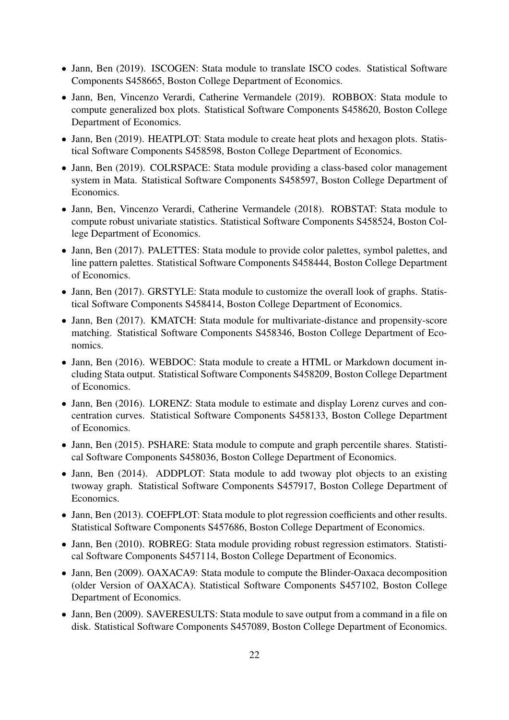- Jann, Ben (2019). ISCOGEN: Stata module to translate ISCO codes. Statistical Software Components S458665, Boston College Department of Economics.
- Jann, Ben, Vincenzo Verardi, Catherine Vermandele (2019). ROBBOX: Stata module to compute generalized box plots. Statistical Software Components S458620, Boston College Department of Economics.
- Jann, Ben (2019). HEATPLOT: Stata module to create heat plots and hexagon plots. Statistical Software Components S458598, Boston College Department of Economics.
- Jann, Ben (2019). COLRSPACE: Stata module providing a class-based color management system in Mata. Statistical Software Components S458597, Boston College Department of Economics.
- Jann, Ben, Vincenzo Verardi, Catherine Vermandele (2018). ROBSTAT: Stata module to compute robust univariate statistics. Statistical Software Components S458524, Boston College Department of Economics.
- Jann, Ben (2017). PALETTES: Stata module to provide color palettes, symbol palettes, and line pattern palettes. Statistical Software Components S458444, Boston College Department of Economics.
- Jann, Ben (2017). GRSTYLE: Stata module to customize the overall look of graphs. Statistical Software Components S458414, Boston College Department of Economics.
- Jann, Ben (2017). KMATCH: Stata module for multivariate-distance and propensity-score matching. Statistical Software Components S458346, Boston College Department of Economics.
- Jann, Ben (2016). WEBDOC: Stata module to create a HTML or Markdown document including Stata output. Statistical Software Components S458209, Boston College Department of Economics.
- Jann, Ben (2016). LORENZ: Stata module to estimate and display Lorenz curves and concentration curves. Statistical Software Components S458133, Boston College Department of Economics.
- Jann, Ben (2015). PSHARE: Stata module to compute and graph percentile shares. Statistical Software Components S458036, Boston College Department of Economics.
- Jann, Ben (2014). ADDPLOT: Stata module to add twoway plot objects to an existing twoway graph. Statistical Software Components S457917, Boston College Department of Economics.
- Jann, Ben (2013). COEFPLOT: Stata module to plot regression coefficients and other results. Statistical Software Components S457686, Boston College Department of Economics.
- Jann, Ben (2010). ROBREG: Stata module providing robust regression estimators. Statistical Software Components S457114, Boston College Department of Economics.
- Jann, Ben (2009). OAXACA9: Stata module to compute the Blinder-Oaxaca decomposition (older Version of OAXACA). Statistical Software Components S457102, Boston College Department of Economics.
- Jann, Ben (2009). SAVERESULTS: Stata module to save output from a command in a file on disk. Statistical Software Components S457089, Boston College Department of Economics.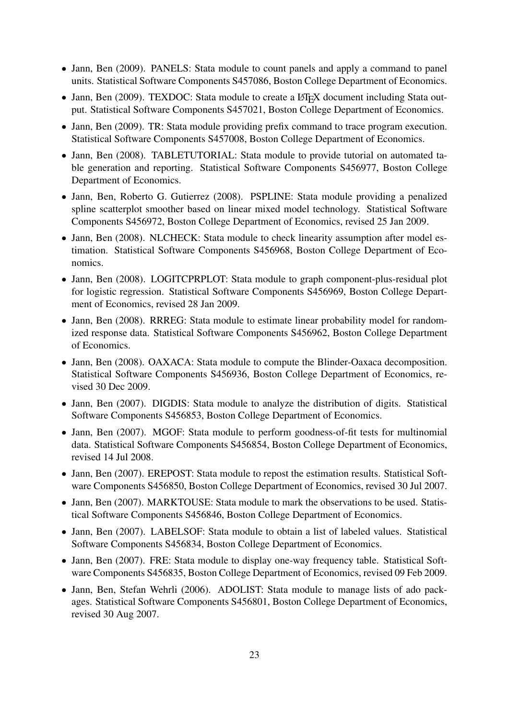- Jann, Ben (2009). PANELS: Stata module to count panels and apply a command to panel units. Statistical Software Components S457086, Boston College Department of Economics.
- Jann, Ben (2009). TEXDOC: Stata module to create a L<sup>AT</sup>EX document including Stata output. Statistical Software Components S457021, Boston College Department of Economics.
- Jann, Ben (2009). TR: Stata module providing prefix command to trace program execution. Statistical Software Components S457008, Boston College Department of Economics.
- Jann, Ben (2008). TABLETUTORIAL: Stata module to provide tutorial on automated table generation and reporting. Statistical Software Components S456977, Boston College Department of Economics.
- Jann, Ben, Roberto G. Gutierrez (2008). PSPLINE: Stata module providing a penalized spline scatterplot smoother based on linear mixed model technology. Statistical Software Components S456972, Boston College Department of Economics, revised 25 Jan 2009.
- Jann, Ben (2008). NLCHECK: Stata module to check linearity assumption after model estimation. Statistical Software Components S456968, Boston College Department of Economics.
- Jann, Ben (2008). LOGITCPRPLOT: Stata module to graph component-plus-residual plot for logistic regression. Statistical Software Components S456969, Boston College Department of Economics, revised 28 Jan 2009.
- Jann, Ben (2008). RRREG: Stata module to estimate linear probability model for randomized response data. Statistical Software Components S456962, Boston College Department of Economics.
- Jann, Ben (2008). OAXACA: Stata module to compute the Blinder-Oaxaca decomposition. Statistical Software Components S456936, Boston College Department of Economics, revised 30 Dec 2009.
- Jann, Ben (2007). DIGDIS: Stata module to analyze the distribution of digits. Statistical Software Components S456853, Boston College Department of Economics.
- Jann, Ben (2007). MGOF: Stata module to perform goodness-of-fit tests for multinomial data. Statistical Software Components S456854, Boston College Department of Economics, revised 14 Jul 2008.
- Jann, Ben (2007). EREPOST: Stata module to repost the estimation results. Statistical Software Components S456850, Boston College Department of Economics, revised 30 Jul 2007.
- Jann, Ben (2007). MARKTOUSE: Stata module to mark the observations to be used. Statistical Software Components S456846, Boston College Department of Economics.
- Jann, Ben (2007). LABELSOF: Stata module to obtain a list of labeled values. Statistical Software Components S456834, Boston College Department of Economics.
- Jann, Ben (2007). FRE: Stata module to display one-way frequency table. Statistical Software Components S456835, Boston College Department of Economics, revised 09 Feb 2009.
- Jann, Ben, Stefan Wehrli (2006). ADOLIST: Stata module to manage lists of ado packages. Statistical Software Components S456801, Boston College Department of Economics, revised 30 Aug 2007.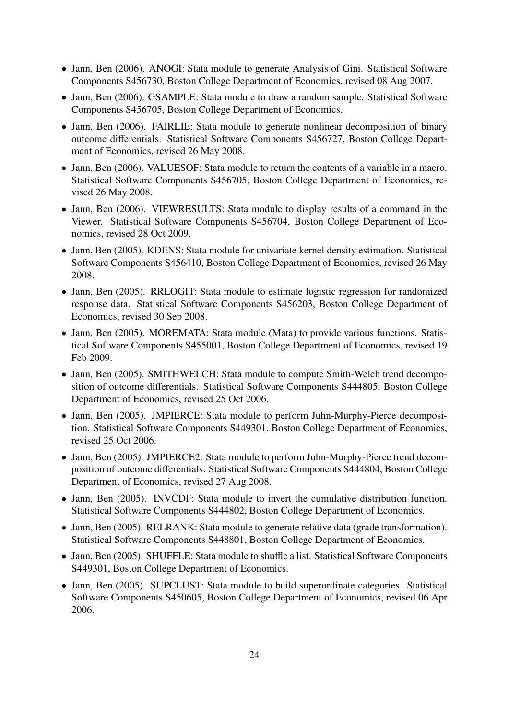- Jann, Ben (2006). ANOGI: Stata module to generate Analysis of Gini. Statistical Software Components S456730, Boston College Department of Economics, revised 08 Aug 2007.
- Jann, Ben (2006). GSAMPLE: Stata module to draw a random sample. Statistical Software Components S456705, Boston College Department of Economics.
- Jann, Ben (2006). FAIRLIE: Stata module to generate nonlinear decomposition of binary outcome differentials. Statistical Software Components S456727, Boston College Department of Economics, revised 26 May 2008.
- Jann, Ben (2006). VALUESOF: Stata module to return the contents of a variable in a macro. Statistical Software Components S456705, Boston College Department of Economics, revised 26 May 2008.
- Jann, Ben (2006). VIEWRESULTS: Stata module to display results of a command in the Viewer. Statistical Software Components S456704, Boston College Department of Economics, revised 28 Oct 2009.
- Jann, Ben (2005). KDENS: Stata module for univariate kernel density estimation. Statistical Software Components S456410, Boston College Department of Economics, revised 26 May 2008.
- Jann, Ben (2005). RRLOGIT: Stata module to estimate logistic regression for randomized response data. Statistical Software Components S456203, Boston College Department of Economics, revised 30 Sep 2008.
- Jann, Ben (2005). MOREMATA: Stata module (Mata) to provide various functions. Statistical Software Components S455001, Boston College Department of Economics, revised 19 Feb 2009.
- Jann, Ben (2005). SMITHWELCH: Stata module to compute Smith-Welch trend decomposition of outcome differentials. Statistical Software Components S444805, Boston College Department of Economics, revised 25 Oct 2006.
- Jann, Ben (2005). JMPIERCE: Stata module to perform Juhn-Murphy-Pierce decomposition. Statistical Software Components S449301, Boston College Department of Economics, revised 25 Oct 2006.
- Jann, Ben (2005). JMPIERCE2: Stata module to perform Juhn-Murphy-Pierce trend decomposition of outcome differentials. Statistical Software Components S444804, Boston College Department of Economics, revised 27 Aug 2008.
- Jann, Ben (2005). INVCDF: Stata module to invert the cumulative distribution function. Statistical Software Components S444802, Boston College Department of Economics.
- Jann, Ben (2005). RELRANK: Stata module to generate relative data (grade transformation). Statistical Software Components S448801, Boston College Department of Economics.
- Jann, Ben (2005). SHUFFLE: Stata module to shuffle a list. Statistical Software Components S449301, Boston College Department of Economics.
- Jann, Ben (2005). SUPCLUST: Stata module to build superordinate categories. Statistical Software Components S450605, Boston College Department of Economics, revised 06 Apr 2006.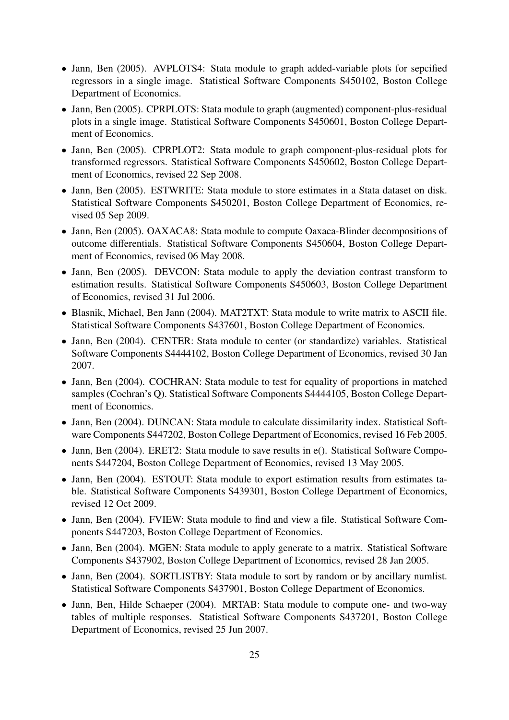- Jann, Ben (2005). AVPLOTS4: Stata module to graph added-variable plots for sepcified regressors in a single image. Statistical Software Components S450102, Boston College Department of Economics.
- Jann, Ben (2005). CPRPLOTS: Stata module to graph (augmented) component-plus-residual plots in a single image. Statistical Software Components S450601, Boston College Department of Economics.
- Jann, Ben (2005). CPRPLOT2: Stata module to graph component-plus-residual plots for transformed regressors. Statistical Software Components S450602, Boston College Department of Economics, revised 22 Sep 2008.
- Jann, Ben (2005). ESTWRITE: Stata module to store estimates in a Stata dataset on disk. Statistical Software Components S450201, Boston College Department of Economics, revised 05 Sep 2009.
- Jann, Ben (2005). OAXACA8: Stata module to compute Oaxaca-Blinder decompositions of outcome differentials. Statistical Software Components S450604, Boston College Department of Economics, revised 06 May 2008.
- Jann, Ben (2005). DEVCON: Stata module to apply the deviation contrast transform to estimation results. Statistical Software Components S450603, Boston College Department of Economics, revised 31 Jul 2006.
- Blasnik, Michael, Ben Jann (2004). MAT2TXT: Stata module to write matrix to ASCII file. Statistical Software Components S437601, Boston College Department of Economics.
- Jann, Ben (2004). CENTER: Stata module to center (or standardize) variables. Statistical Software Components S4444102, Boston College Department of Economics, revised 30 Jan 2007.
- Jann, Ben (2004). COCHRAN: Stata module to test for equality of proportions in matched samples (Cochran's Q). Statistical Software Components S4444105, Boston College Department of Economics.
- Jann, Ben (2004). DUNCAN: Stata module to calculate dissimilarity index. Statistical Software Components S447202, Boston College Department of Economics, revised 16 Feb 2005.
- Jann, Ben (2004). ERET2: Stata module to save results in e(). Statistical Software Components S447204, Boston College Department of Economics, revised 13 May 2005.
- Jann, Ben (2004). ESTOUT: Stata module to export estimation results from estimates table. Statistical Software Components S439301, Boston College Department of Economics, revised 12 Oct 2009.
- Jann, Ben (2004). FVIEW: Stata module to find and view a file. Statistical Software Components S447203, Boston College Department of Economics.
- Jann, Ben (2004). MGEN: Stata module to apply generate to a matrix. Statistical Software Components S437902, Boston College Department of Economics, revised 28 Jan 2005.
- Jann, Ben (2004). SORTLISTBY: Stata module to sort by random or by ancillary numlist. Statistical Software Components S437901, Boston College Department of Economics.
- Jann, Ben, Hilde Schaeper (2004). MRTAB: Stata module to compute one- and two-way tables of multiple responses. Statistical Software Components S437201, Boston College Department of Economics, revised 25 Jun 2007.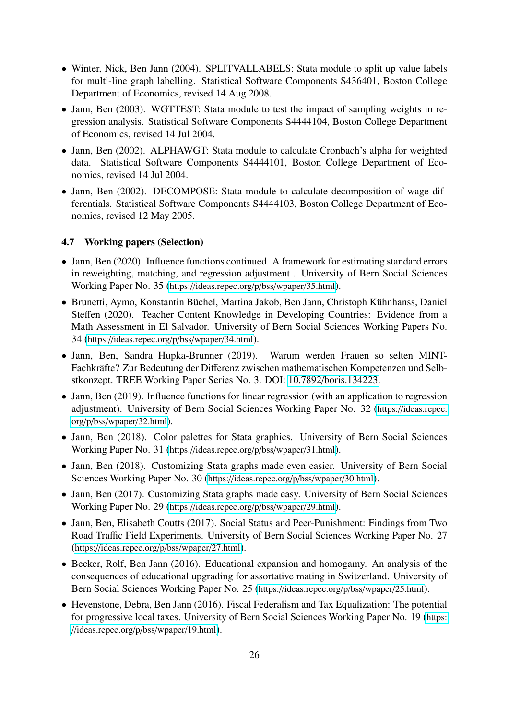- Winter, Nick, Ben Jann (2004). SPLITVALLABELS: Stata module to split up value labels for multi-line graph labelling. Statistical Software Components S436401, Boston College Department of Economics, revised 14 Aug 2008.
- Jann, Ben (2003). WGTTEST: Stata module to test the impact of sampling weights in regression analysis. Statistical Software Components S4444104, Boston College Department of Economics, revised 14 Jul 2004.
- Jann, Ben (2002). ALPHAWGT: Stata module to calculate Cronbach's alpha for weighted data. Statistical Software Components S4444101, Boston College Department of Economics, revised 14 Jul 2004.
- Jann, Ben (2002). DECOMPOSE: Stata module to calculate decomposition of wage differentials. Statistical Software Components S4444103, Boston College Department of Economics, revised 12 May 2005.

#### <span id="page-25-0"></span>4.7 Working papers (Selection)

- Jann, Ben (2020). Influence functions continued. A framework for estimating standard errors in reweighting, matching, and regression adjustment . University of Bern Social Sciences Working Paper No. 35 (https://[ideas.repec.org](https://ideas.repec.org/p/bss/wpaper/35.html)/p/bss/wpaper/35.html).
- Brunetti, Aymo, Konstantin Büchel, Martina Jakob, Ben Jann, Christoph Kühnhanss, Daniel Steffen (2020). Teacher Content Knowledge in Developing Countries: Evidence from a Math Assessment in El Salvador. University of Bern Social Sciences Working Papers No. 34 (https://[ideas.repec.org](https://ideas.repec.org/p/bss/wpaper/34.html)/p/bss/wpaper/34.html).
- Jann, Ben, Sandra Hupka-Brunner (2019). Warum werden Frauen so selten MINT-Fachkräfte? Zur Bedeutung der Differenz zwischen mathematischen Kompetenzen und Selbstkonzept. TREE Working Paper Series No. 3. DOI: 10.7892/[boris.134223.](http://dx.doi.org/10.7892/boris.134223)
- Jann, Ben (2019). Influence functions for linear regression (with an application to regression adjustment). University of Bern Social Sciences Working Paper No. 32 (https://[ideas.repec.](https://ideas.repec.org/p/bss/wpaper/32.html) org/p/bss/wpaper/[32.html](https://ideas.repec.org/p/bss/wpaper/32.html)).
- Jann, Ben (2018). Color palettes for Stata graphics. University of Bern Social Sciences Working Paper No. 31 (https://[ideas.repec.org](https://ideas.repec.org/p/bss/wpaper/31.html)/p/bss/wpaper/31.html).
- Jann, Ben (2018). Customizing Stata graphs made even easier. University of Bern Social Sciences Working Paper No. 30 (https://[ideas.repec.org](https://ideas.repec.org/p/bss/wpaper/30.html)/p/bss/wpaper/30.html).
- Jann, Ben (2017). Customizing Stata graphs made easy. University of Bern Social Sciences Working Paper No. 29 (https://[ideas.repec.org](https://ideas.repec.org/p/bss/wpaper/29.html)/p/bss/wpaper/29.html).
- Jann, Ben, Elisabeth Coutts (2017). Social Status and Peer-Punishment: Findings from Two Road Traffic Field Experiments. University of Bern Social Sciences Working Paper No. 27 (https://[ideas.repec.org](https://ideas.repec.org/p/bss/wpaper/27.html)/p/bss/wpaper/27.html).
- Becker, Rolf, Ben Jann (2016). Educational expansion and homogamy. An analysis of the consequences of educational upgrading for assortative mating in Switzerland. University of Bern Social Sciences Working Paper No. 25 (https://[ideas.repec.org](https://ideas.repec.org/p/bss/wpaper/25.html)/p/bss/wpaper/25.html).
- Hevenstone, Debra, Ben Jann (2016). Fiscal Federalism and Tax Equalization: The potential for progressive local taxes. University of Bern Social Sciences Working Paper No. 19 ([https:](https://ideas.repec.org/p/bss/wpaper/19.html) //[ideas.repec.org](https://ideas.repec.org/p/bss/wpaper/19.html)/p/bss/wpaper/19.html).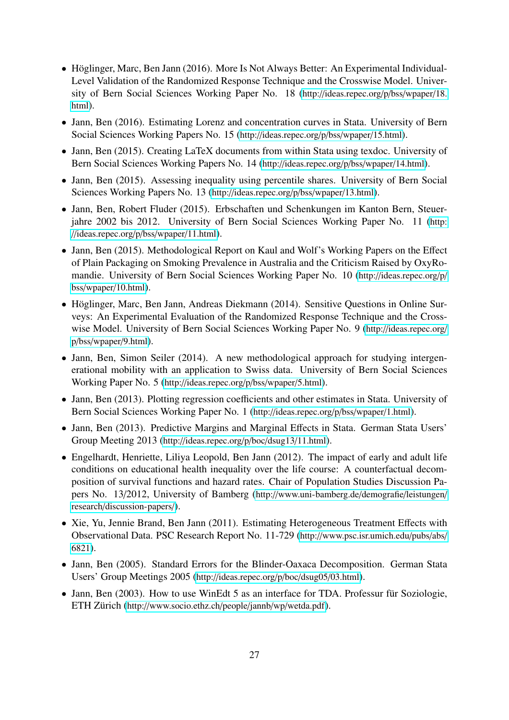- Höglinger, Marc, Ben Jann (2016). More Is Not Always Better: An Experimental Individual-Level Validation of the Randomized Response Technique and the Crosswise Model. University of Bern Social Sciences Working Paper No. 18 (http://[ideas.repec.org](http://ideas.repec.org/p/bss/wpaper/18.html)/p/bss/wpaper/18. [html](http://ideas.repec.org/p/bss/wpaper/18.html)).
- Jann, Ben (2016). Estimating Lorenz and concentration curves in Stata. University of Bern Social Sciences Working Papers No. 15 (http://[ideas.repec.org](http://ideas.repec.org/p/bss/wpaper/15.html)/p/bss/wpaper/15.html).
- Jann, Ben (2015). Creating LaTeX documents from within Stata using texdoc. University of Bern Social Sciences Working Papers No. 14 (http://[ideas.repec.org](http://ideas.repec.org/p/bss/wpaper/14.html)/p/bss/wpaper/14.html).
- Jann, Ben (2015). Assessing inequality using percentile shares. University of Bern Social Sciences Working Papers No. 13 (http://[ideas.repec.org](http://ideas.repec.org/p/bss/wpaper/13.html)/p/bss/wpaper/13.html).
- Jann, Ben, Robert Fluder (2015). Erbschaften und Schenkungen im Kanton Bern, Steuerjahre 2002 bis 2012. University of Bern Social Sciences Working Paper No. 11 ([http:](http://ideas.repec.org/p/bss/wpaper/11.html) //[ideas.repec.org](http://ideas.repec.org/p/bss/wpaper/11.html)/p/bss/wpaper/11.html).
- Jann, Ben (2015). Methodological Report on Kaul and Wolf's Working Papers on the Effect of Plain Packaging on Smoking Prevalence in Australia and the Criticism Raised by OxyRomandie. University of Bern Social Sciences Working Paper No. 10 (http://[ideas.repec.org](http://ideas.repec.org/p/bss/wpaper/10.html)/p/ bss/wpaper/[10.html](http://ideas.repec.org/p/bss/wpaper/10.html)).
- Höglinger, Marc, Ben Jann, Andreas Diekmann (2014). Sensitive Questions in Online Surveys: An Experimental Evaluation of the Randomized Response Technique and the Crosswise Model. University of Bern Social Sciences Working Paper No. 9 (http://[ideas.repec.org](http://ideas.repec.org/p/bss/wpaper/9.html)/ p/bss/[wpaper](http://ideas.repec.org/p/bss/wpaper/9.html)/9.html).
- Jann, Ben, Simon Seiler (2014). A new methodological approach for studying intergenerational mobility with an application to Swiss data. University of Bern Social Sciences Working Paper No. 5 (http://[ideas.repec.org](http://ideas.repec.org/p/bss/wpaper/5.html)/p/bss/wpaper/5.html).
- Jann, Ben (2013). Plotting regression coefficients and other estimates in Stata. University of Bern Social Sciences Working Paper No. 1 (http://[ideas.repec.org](http://ideas.repec.org/p/bss/wpaper/1.html)/p/bss/wpaper/1.html).
- Jann, Ben (2013). Predictive Margins and Marginal Effects in Stata. German Stata Users' Group Meeting 2013 (http://[ideas.repec.org](http://ideas.repec.org/p/boc/dsug13/11.html)/p/boc/dsug13/11.html).
- Engelhardt, Henriette, Liliya Leopold, Ben Jann (2012). The impact of early and adult life conditions on educational health inequality over the life course: A counterfactual decomposition of survival functions and hazard rates. Chair of Population Studies Discussion Papers No. 13/2012, University of Bamberg (http://[www.uni-bamberg.de](http://www.uni-bamberg.de/demografie/leistungen/research/discussion-papers/)/demografie/leistungen/ research/[discussion-papers](http://www.uni-bamberg.de/demografie/leistungen/research/discussion-papers/)/).
- Xie, Yu, Jennie Brand, Ben Jann (2011). Estimating Heterogeneous Treatment Effects with Observational Data. PSC Research Report No. 11-729 (http://[www.psc.isr.umich.edu](http://www.psc.isr.umich.edu/pubs/abs/6821)/pubs/abs/ [6821](http://www.psc.isr.umich.edu/pubs/abs/6821)).
- Jann, Ben (2005). Standard Errors for the Blinder-Oaxaca Decomposition. German Stata Users' Group Meetings 2005 (http://[ideas.repec.org](http://ideas.repec.org/p/boc/dsug05/03.html)/p/boc/dsug05/03.html).
- Jann, Ben (2003). How to use WinEdt 5 as an interface for TDA. Professur für Soziologie, ETH Zürich (http://[www.socio.ethz.ch](http://www.socio.ethz.ch/people/jannb/wp/wetda.pdf)/people/jannb/wp/wetda.pdf).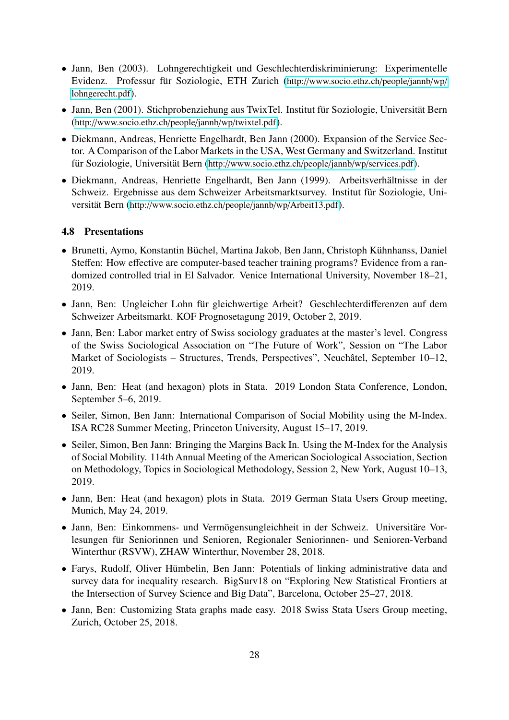- Jann, Ben (2003). Lohngerechtigkeit und Geschlechterdiskriminierung: Experimentelle Evidenz. Professur für Soziologie, ETH Zurich (http://[www.socio.ethz.ch](http://www.socio.ethz.ch/people/jannb/wp/lohngerecht.pdf)/people/jannb/wp/ [lohngerecht.pdf](http://www.socio.ethz.ch/people/jannb/wp/lohngerecht.pdf)).
- Jann, Ben (2001). Stichprobenziehung aus TwixTel. Institut für Soziologie, Universität Bern (http://[www.socio.ethz.ch](http://www.socio.ethz.ch/people/jannb/wp/twixtel.pdf)/people/jannb/wp/twixtel.pdf).
- Diekmann, Andreas, Henriette Engelhardt, Ben Jann (2000). Expansion of the Service Sector. A Comparison of the Labor Markets in the USA, West Germany and Switzerland. Institut für Soziologie, Universität Bern (http://[www.socio.ethz.ch](http://www.socio.ethz.ch/people/jannb/wp/services.pdf)/people/jannb/wp/services.pdf).
- Diekmann, Andreas, Henriette Engelhardt, Ben Jann (1999). Arbeitsverhältnisse in der Schweiz. Ergebnisse aus dem Schweizer Arbeitsmarktsurvey. Institut für Soziologie, Universität Bern (http://[www.socio.ethz.ch](http://www.socio.ethz.ch/people/jannb/wp/Arbeit13.pdf)/people/jannb/wp/Arbeit13.pdf).

#### <span id="page-27-0"></span>4.8 Presentations

- Brunetti, Aymo, Konstantin Büchel, Martina Jakob, Ben Jann, Christoph Kühnhanss, Daniel Steffen: How effective are computer-based teacher training programs? Evidence from a randomized controlled trial in El Salvador. Venice International University, November 18–21, 2019.
- Jann, Ben: Ungleicher Lohn für gleichwertige Arbeit? Geschlechterdifferenzen auf dem Schweizer Arbeitsmarkt. KOF Prognosetagung 2019, October 2, 2019.
- Jann, Ben: Labor market entry of Swiss sociology graduates at the master's level. Congress of the Swiss Sociological Association on "The Future of Work", Session on "The Labor Market of Sociologists – Structures, Trends, Perspectives", Neuchâtel, September 10–12, 2019.
- Jann, Ben: Heat (and hexagon) plots in Stata. 2019 London Stata Conference, London, September 5–6, 2019.
- Seiler, Simon, Ben Jann: International Comparison of Social Mobility using the M-Index. ISA RC28 Summer Meeting, Princeton University, August 15–17, 2019.
- Seiler, Simon, Ben Jann: Bringing the Margins Back In. Using the M-Index for the Analysis of Social Mobility. 114th Annual Meeting of the American Sociological Association, Section on Methodology, Topics in Sociological Methodology, Session 2, New York, August 10–13, 2019.
- Jann, Ben: Heat (and hexagon) plots in Stata. 2019 German Stata Users Group meeting, Munich, May 24, 2019.
- Jann, Ben: Einkommens- und Vermögensungleichheit in der Schweiz. Universitäre Vorlesungen für Seniorinnen und Senioren, Regionaler Seniorinnen- und Senioren-Verband Winterthur (RSVW), ZHAW Winterthur, November 28, 2018.
- Farys, Rudolf, Oliver Hümbelin, Ben Jann: Potentials of linking administrative data and survey data for inequality research. BigSurv18 on "Exploring New Statistical Frontiers at the Intersection of Survey Science and Big Data", Barcelona, October 25–27, 2018.
- Jann, Ben: Customizing Stata graphs made easy. 2018 Swiss Stata Users Group meeting, Zurich, October 25, 2018.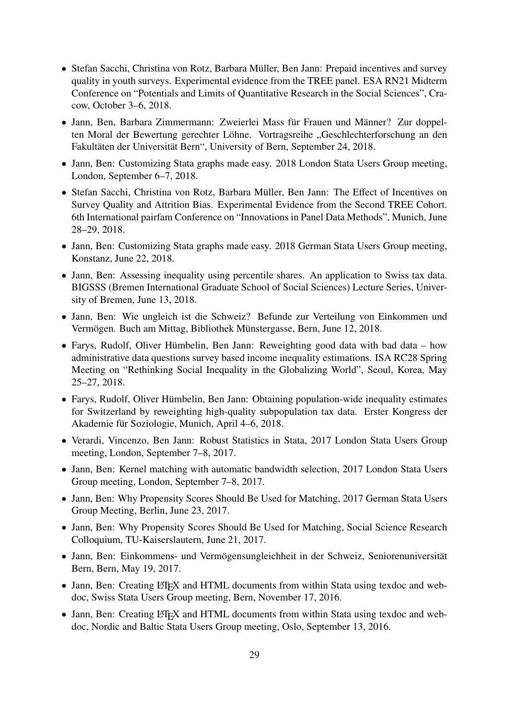- Stefan Sacchi, Christina von Rotz, Barbara Müller, Ben Jann: Prepaid incentives and survey quality in youth surveys. Experimental evidence from the TREE panel. ESA RN21 Midterm Conference on "Potentials and Limits of Quantitative Research in the Social Sciences", Cracow, October 3–6, 2018.
- Jann, Ben, Barbara Zimmermann: Zweierlei Mass für Frauen und Männer? Zur doppelten Moral der Bewertung gerechter Löhne. Vortragsreihe "Geschlechterforschung an den Fakultäten der Universität Bern", University of Bern, September 24, 2018.
- Jann, Ben: Customizing Stata graphs made easy. 2018 London Stata Users Group meeting, London, September 6–7, 2018.
- Stefan Sacchi, Christina von Rotz, Barbara Müller, Ben Jann: The Effect of Incentives on Survey Quality and Attrition Bias. Experimental Evidence from the Second TREE Cohort. 6th International pairfam Conference on "Innovations in Panel Data Methods", Munich, June 28–29, 2018.
- Jann, Ben: Customizing Stata graphs made easy. 2018 German Stata Users Group meeting, Konstanz, June 22, 2018.
- Jann, Ben: Assessing inequality using percentile shares. An application to Swiss tax data. BIGSSS (Bremen International Graduate School of Social Sciences) Lecture Series, University of Bremen, June 13, 2018.
- Jann, Ben: Wie ungleich ist die Schweiz? Befunde zur Verteilung von Einkommen und Vermögen. Buch am Mittag, Bibliothek Münstergasse, Bern, June 12, 2018.
- Farys, Rudolf, Oliver Hümbelin, Ben Jann: Reweighting good data with bad data how administrative data questions survey based income inequality estimations. ISA RC28 Spring Meeting on "Rethinking Social Inequality in the Globalizing World", Seoul, Korea, May 25–27, 2018.
- Farys, Rudolf, Oliver Hümbelin, Ben Jann: Obtaining population-wide inequality estimates for Switzerland by reweighting high-quality subpopulation tax data. Erster Kongress der Akademie für Soziologie, Munich, April 4–6, 2018.
- Verardi, Vincenzo, Ben Jann: Robust Statistics in Stata, 2017 London Stata Users Group meeting, London, September 7–8, 2017.
- Jann, Ben: Kernel matching with automatic bandwidth selection, 2017 London Stata Users Group meeting, London, September 7–8, 2017.
- Jann, Ben: Why Propensity Scores Should Be Used for Matching, 2017 German Stata Users Group Meeting, Berlin, June 23, 2017.
- Jann, Ben: Why Propensity Scores Should Be Used for Matching, Social Science Research Colloquium, TU-Kaiserslautern, June 21, 2017.
- Jann, Ben: Einkommens- und Vermögensungleichheit in der Schweiz, Seniorenuniversität Bern, Bern, May 19, 2017.
- Jann, Ben: Creating LATEX and HTML documents from within Stata using texdoc and webdoc, Swiss Stata Users Group meeting, Bern, November 17, 2016.
- Jann, Ben: Creating LATEX and HTML documents from within Stata using texdoc and webdoc, Nordic and Baltic Stata Users Group meeting, Oslo, September 13, 2016.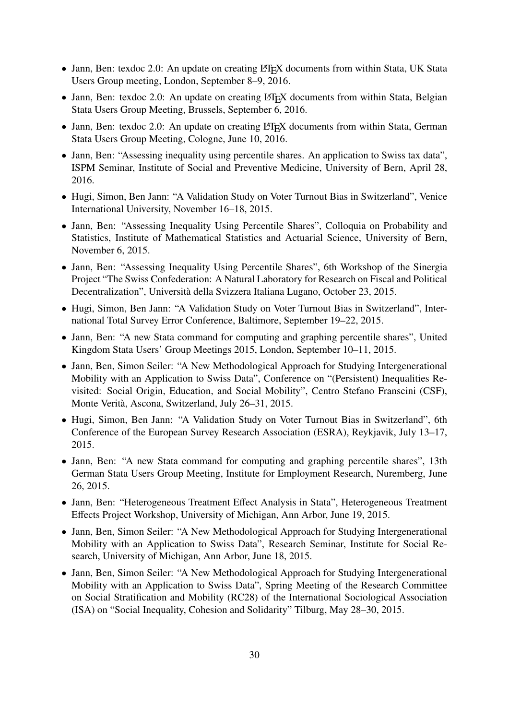- Jann, Ben: texdoc 2.0: An update on creating LATEX documents from within Stata, UK Stata Users Group meeting, London, September 8–9, 2016.
- Jann, Ben: texdoc 2.0: An update on creating LAT<sub>EX</sub> documents from within Stata, Belgian Stata Users Group Meeting, Brussels, September 6, 2016.
- Jann, Ben: texdoc 2.0: An update on creating LATEX documents from within Stata, German Stata Users Group Meeting, Cologne, June 10, 2016.
- Jann, Ben: "Assessing inequality using percentile shares. An application to Swiss tax data", ISPM Seminar, Institute of Social and Preventive Medicine, University of Bern, April 28, 2016.
- Hugi, Simon, Ben Jann: "A Validation Study on Voter Turnout Bias in Switzerland", Venice International University, November 16–18, 2015.
- Jann, Ben: "Assessing Inequality Using Percentile Shares", Colloquia on Probability and Statistics, Institute of Mathematical Statistics and Actuarial Science, University of Bern, November 6, 2015.
- Jann, Ben: "Assessing Inequality Using Percentile Shares", 6th Workshop of the Sinergia Project "The Swiss Confederation: A Natural Laboratory for Research on Fiscal and Political Decentralization", Università della Svizzera Italiana Lugano, October 23, 2015.
- Hugi, Simon, Ben Jann: "A Validation Study on Voter Turnout Bias in Switzerland", International Total Survey Error Conference, Baltimore, September 19–22, 2015.
- Jann, Ben: "A new Stata command for computing and graphing percentile shares", United Kingdom Stata Users' Group Meetings 2015, London, September 10–11, 2015.
- Jann, Ben, Simon Seiler: "A New Methodological Approach for Studying Intergenerational Mobility with an Application to Swiss Data", Conference on "(Persistent) Inequalities Revisited: Social Origin, Education, and Social Mobility", Centro Stefano Franscini (CSF), Monte Verità, Ascona, Switzerland, July 26–31, 2015.
- Hugi, Simon, Ben Jann: "A Validation Study on Voter Turnout Bias in Switzerland", 6th Conference of the European Survey Research Association (ESRA), Reykjavik, July 13–17, 2015.
- Jann, Ben: "A new Stata command for computing and graphing percentile shares", 13th German Stata Users Group Meeting, Institute for Employment Research, Nuremberg, June 26, 2015.
- Jann, Ben: "Heterogeneous Treatment Effect Analysis in Stata", Heterogeneous Treatment Effects Project Workshop, University of Michigan, Ann Arbor, June 19, 2015.
- Jann, Ben, Simon Seiler: "A New Methodological Approach for Studying Intergenerational Mobility with an Application to Swiss Data", Research Seminar, Institute for Social Research, University of Michigan, Ann Arbor, June 18, 2015.
- Jann, Ben, Simon Seiler: "A New Methodological Approach for Studying Intergenerational Mobility with an Application to Swiss Data", Spring Meeting of the Research Committee on Social Stratification and Mobility (RC28) of the International Sociological Association (ISA) on "Social Inequality, Cohesion and Solidarity" Tilburg, May 28–30, 2015.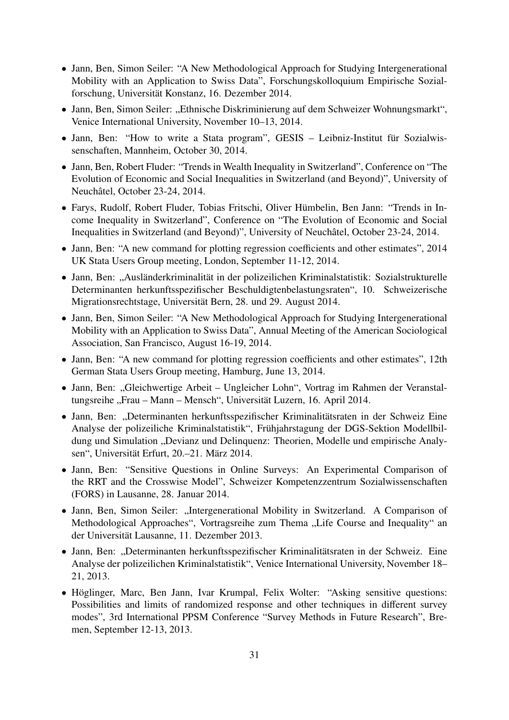- Jann, Ben, Simon Seiler: "A New Methodological Approach for Studying Intergenerational Mobility with an Application to Swiss Data", Forschungskolloquium Empirische Sozialforschung, Universität Konstanz, 16. Dezember 2014.
- Jann, Ben, Simon Seiler: "Ethnische Diskriminierung auf dem Schweizer Wohnungsmarkt", Venice International University, November 10–13, 2014.
- Jann, Ben: "How to write a Stata program", GESIS Leibniz-Institut für Sozialwissenschaften, Mannheim, October 30, 2014.
- Jann, Ben, Robert Fluder: "Trends in Wealth Inequality in Switzerland", Conference on "The Evolution of Economic and Social Inequalities in Switzerland (and Beyond)", University of Neuchâtel, October 23-24, 2014.
- Farys, Rudolf, Robert Fluder, Tobias Fritschi, Oliver Hümbelin, Ben Jann: "Trends in Income Inequality in Switzerland", Conference on "The Evolution of Economic and Social Inequalities in Switzerland (and Beyond)", University of Neuchâtel, October 23-24, 2014.
- Jann, Ben: "A new command for plotting regression coefficients and other estimates", 2014 UK Stata Users Group meeting, London, September 11-12, 2014.
- Jann, Ben: "Ausländerkriminalität in der polizeilichen Kriminalstatistik: Sozialstrukturelle Determinanten herkunftsspezifischer Beschuldigtenbelastungsraten", 10. Schweizerische Migrationsrechtstage, Universität Bern, 28. und 29. August 2014.
- Jann, Ben, Simon Seiler: "A New Methodological Approach for Studying Intergenerational Mobility with an Application to Swiss Data", Annual Meeting of the American Sociological Association, San Francisco, August 16-19, 2014.
- Jann, Ben: "A new command for plotting regression coefficients and other estimates", 12th German Stata Users Group meeting, Hamburg, June 13, 2014.
- Jann, Ben: "Gleichwertige Arbeit Ungleicher Lohn", Vortrag im Rahmen der Veranstaltungsreihe "Frau – Mann – Mensch", Universität Luzern, 16. April 2014.
- Jann, Ben: "Determinanten herkunftsspezifischer Kriminalitätsraten in der Schweiz Eine Analyse der polizeiliche Kriminalstatistik", Frühjahrstagung der DGS-Sektion Modellbildung und Simulation "Devianz und Delinquenz: Theorien, Modelle und empirische Analysen", Universität Erfurt, 20.–21. März 2014.
- Jann, Ben: "Sensitive Questions in Online Surveys: An Experimental Comparison of the RRT and the Crosswise Model", Schweizer Kompetenzzentrum Sozialwissenschaften (FORS) in Lausanne, 28. Januar 2014.
- Jann, Ben, Simon Seiler: "Intergenerational Mobility in Switzerland. A Comparison of Methodological Approaches", Vortragsreihe zum Thema "Life Course and Inequality" an der Universität Lausanne, 11. Dezember 2013.
- Jann, Ben: "Determinanten herkunftsspezifischer Kriminalitätsraten in der Schweiz. Eine Analyse der polizeilichen Kriminalstatistik", Venice International University, November 18– 21, 2013.
- Höglinger, Marc, Ben Jann, Ivar Krumpal, Felix Wolter: "Asking sensitive questions: Possibilities and limits of randomized response and other techniques in different survey modes", 3rd International PPSM Conference "Survey Methods in Future Research", Bremen, September 12-13, 2013.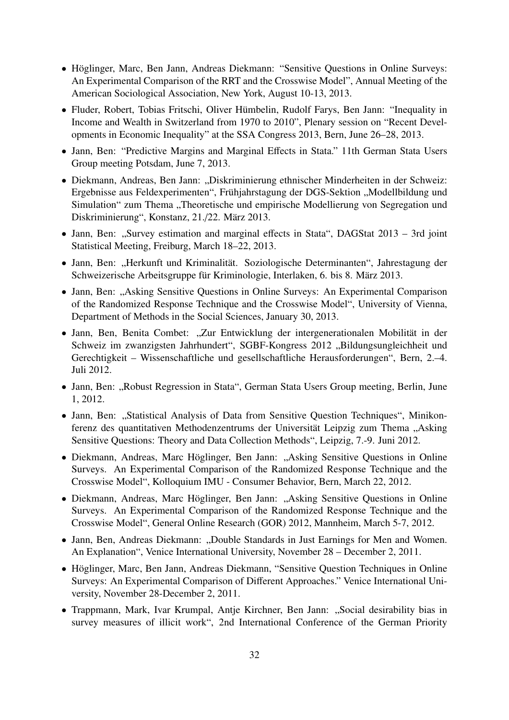- Höglinger, Marc, Ben Jann, Andreas Diekmann: "Sensitive Questions in Online Surveys: An Experimental Comparison of the RRT and the Crosswise Model", Annual Meeting of the American Sociological Association, New York, August 10-13, 2013.
- Fluder, Robert, Tobias Fritschi, Oliver Hümbelin, Rudolf Farys, Ben Jann: "Inequality in Income and Wealth in Switzerland from 1970 to 2010", Plenary session on "Recent Developments in Economic Inequality" at the SSA Congress 2013, Bern, June 26–28, 2013.
- Jann, Ben: "Predictive Margins and Marginal Effects in Stata." 11th German Stata Users Group meeting Potsdam, June 7, 2013.
- Diekmann, Andreas, Ben Jann: "Diskriminierung ethnischer Minderheiten in der Schweiz: Ergebnisse aus Feldexperimenten", Frühjahrstagung der DGS-Sektion "Modellbildung und Simulation" zum Thema "Theoretische und empirische Modellierung von Segregation und Diskriminierung", Konstanz, 21./22. März 2013.
- Jann, Ben: "Survey estimation and marginal effects in Stata", DAGStat 2013 3rd joint Statistical Meeting, Freiburg, March 18–22, 2013.
- Jann, Ben: "Herkunft und Kriminalität. Soziologische Determinanten", Jahrestagung der Schweizerische Arbeitsgruppe für Kriminologie, Interlaken, 6. bis 8. März 2013.
- Jann, Ben: "Asking Sensitive Questions in Online Surveys: An Experimental Comparison of the Randomized Response Technique and the Crosswise Model", University of Vienna, Department of Methods in the Social Sciences, January 30, 2013.
- Jann, Ben, Benita Combet: "Zur Entwicklung der intergenerationalen Mobilität in der Schweiz im zwanzigsten Jahrhundert", SGBF-Kongress 2012 "Bildungsungleichheit und Gerechtigkeit – Wissenschaftliche und gesellschaftliche Herausforderungen", Bern, 2.–4. Juli 2012.
- Jann, Ben: "Robust Regression in Stata", German Stata Users Group meeting, Berlin, June 1, 2012.
- Jann, Ben: "Statistical Analysis of Data from Sensitive Question Techniques", Minikonferenz des quantitativen Methodenzentrums der Universität Leipzig zum Thema "Asking Sensitive Questions: Theory and Data Collection Methods", Leipzig, 7.-9. Juni 2012.
- Diekmann, Andreas, Marc Höglinger, Ben Jann: "Asking Sensitive Questions in Online Surveys. An Experimental Comparison of the Randomized Response Technique and the Crosswise Model", Kolloquium IMU - Consumer Behavior, Bern, March 22, 2012.
- Diekmann, Andreas, Marc Höglinger, Ben Jann: "Asking Sensitive Questions in Online Surveys. An Experimental Comparison of the Randomized Response Technique and the Crosswise Model", General Online Research (GOR) 2012, Mannheim, March 5-7, 2012.
- Jann, Ben, Andreas Diekmann: "Double Standards in Just Earnings for Men and Women. An Explanation", Venice International University, November 28 – December 2, 2011.
- Höglinger, Marc, Ben Jann, Andreas Diekmann, "Sensitive Question Techniques in Online Surveys: An Experimental Comparison of Different Approaches." Venice International University, November 28-December 2, 2011.
- Trappmann, Mark, Ivar Krumpal, Antje Kirchner, Ben Jann: "Social desirability bias in survey measures of illicit work", 2nd International Conference of the German Priority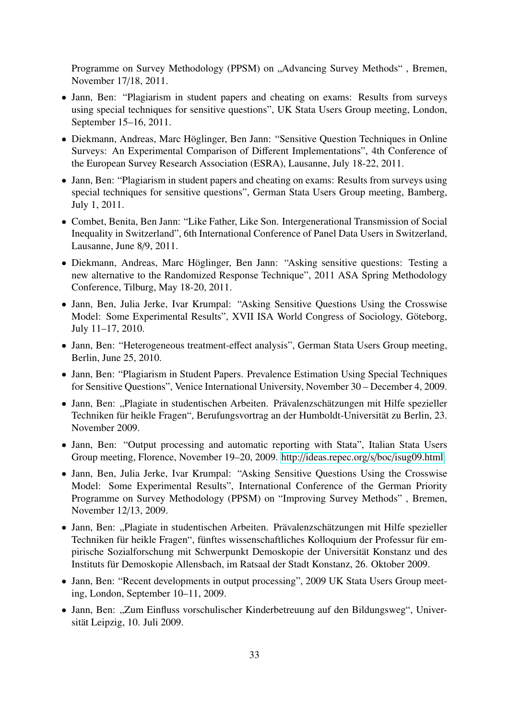Programme on Survey Methodology (PPSM) on "Advancing Survey Methods", Bremen, November 17/18, 2011.

- Jann, Ben: "Plagiarism in student papers and cheating on exams: Results from surveys using special techniques for sensitive questions", UK Stata Users Group meeting, London, September 15–16, 2011.
- Diekmann, Andreas, Marc Höglinger, Ben Jann: "Sensitive Question Techniques in Online Surveys: An Experimental Comparison of Different Implementations", 4th Conference of the European Survey Research Association (ESRA), Lausanne, July 18-22, 2011.
- Jann, Ben: "Plagiarism in student papers and cheating on exams: Results from surveys using special techniques for sensitive questions", German Stata Users Group meeting, Bamberg, July 1, 2011.
- Combet, Benita, Ben Jann: "Like Father, Like Son. Intergenerational Transmission of Social Inequality in Switzerland", 6th International Conference of Panel Data Users in Switzerland, Lausanne, June 8/9, 2011.
- Diekmann, Andreas, Marc Höglinger, Ben Jann: "Asking sensitive questions: Testing a new alternative to the Randomized Response Technique", 2011 ASA Spring Methodology Conference, Tilburg, May 18-20, 2011.
- Jann, Ben, Julia Jerke, Ivar Krumpal: "Asking Sensitive Questions Using the Crosswise Model: Some Experimental Results", XVII ISA World Congress of Sociology, Göteborg, July 11–17, 2010.
- Jann, Ben: "Heterogeneous treatment-effect analysis", German Stata Users Group meeting, Berlin, June 25, 2010.
- Jann, Ben: "Plagiarism in Student Papers. Prevalence Estimation Using Special Techniques for Sensitive Questions", Venice International University, November 30 – December 4, 2009.
- Jann, Ben: "Plagiate in studentischen Arbeiten. Prävalenzschätzungen mit Hilfe spezieller Techniken für heikle Fragen", Berufungsvortrag an der Humboldt-Universität zu Berlin, 23. November 2009.
- Jann, Ben: "Output processing and automatic reporting with Stata", Italian Stata Users Group meeting, Florence, November 19–20, 2009. http://[ideas.repec.org](http://ideas.repec.org/s/boc/isug09.html)/s/boc/isug09.html
- Jann, Ben, Julia Jerke, Ivar Krumpal: "Asking Sensitive Questions Using the Crosswise Model: Some Experimental Results", International Conference of the German Priority Programme on Survey Methodology (PPSM) on "Improving Survey Methods" , Bremen, November 12/13, 2009.
- Jann, Ben: "Plagiate in studentischen Arbeiten. Prävalenzschätzungen mit Hilfe spezieller Techniken für heikle Fragen", fünftes wissenschaftliches Kolloquium der Professur für empirische Sozialforschung mit Schwerpunkt Demoskopie der Universität Konstanz und des Instituts für Demoskopie Allensbach, im Ratsaal der Stadt Konstanz, 26. Oktober 2009.
- Jann, Ben: "Recent developments in output processing", 2009 UK Stata Users Group meeting, London, September 10–11, 2009.
- Jann, Ben: "Zum Einfluss vorschulischer Kinderbetreuung auf den Bildungsweg", Universität Leipzig, 10. Juli 2009.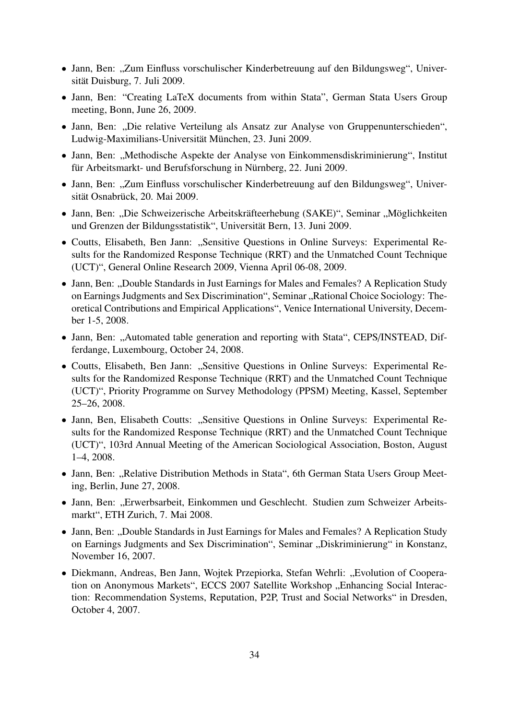- Jann, Ben: "Zum Einfluss vorschulischer Kinderbetreuung auf den Bildungsweg", Universität Duisburg, 7. Juli 2009.
- Jann, Ben: "Creating LaTeX documents from within Stata", German Stata Users Group meeting, Bonn, June 26, 2009.
- Jann, Ben: "Die relative Verteilung als Ansatz zur Analyse von Gruppenunterschieden", Ludwig-Maximilians-Universität München, 23. Juni 2009.
- Jann, Ben: "Methodische Aspekte der Analyse von Einkommensdiskriminierung", Institut für Arbeitsmarkt- und Berufsforschung in Nürnberg, 22. Juni 2009.
- Jann, Ben: "Zum Einfluss vorschulischer Kinderbetreuung auf den Bildungsweg", Universität Osnabrück, 20. Mai 2009.
- Jann, Ben: "Die Schweizerische Arbeitskräfteerhebung (SAKE)", Seminar "Möglichkeiten und Grenzen der Bildungsstatistik", Universität Bern, 13. Juni 2009.
- Coutts, Elisabeth, Ben Jann: "Sensitive Questions in Online Surveys: Experimental Results for the Randomized Response Technique (RRT) and the Unmatched Count Technique (UCT)", General Online Research 2009, Vienna April 06-08, 2009.
- Jann, Ben: "Double Standards in Just Earnings for Males and Females? A Replication Study on Earnings Judgments and Sex Discrimination", Seminar "Rational Choice Sociology: Theoretical Contributions and Empirical Applications", Venice International University, December 1-5, 2008.
- Jann, Ben: "Automated table generation and reporting with Stata", CEPS/INSTEAD, Differdange, Luxembourg, October 24, 2008.
- Coutts, Elisabeth, Ben Jann: "Sensitive Questions in Online Surveys: Experimental Results for the Randomized Response Technique (RRT) and the Unmatched Count Technique (UCT)", Priority Programme on Survey Methodology (PPSM) Meeting, Kassel, September 25–26, 2008.
- Jann, Ben, Elisabeth Coutts: "Sensitive Questions in Online Surveys: Experimental Results for the Randomized Response Technique (RRT) and the Unmatched Count Technique (UCT)", 103rd Annual Meeting of the American Sociological Association, Boston, August 1–4, 2008.
- Jann, Ben: "Relative Distribution Methods in Stata", 6th German Stata Users Group Meeting, Berlin, June 27, 2008.
- Jann, Ben: "Erwerbsarbeit, Einkommen und Geschlecht. Studien zum Schweizer Arbeitsmarkt", ETH Zurich, 7. Mai 2008.
- Jann, Ben: "Double Standards in Just Earnings for Males and Females? A Replication Study on Earnings Judgments and Sex Discrimination", Seminar "Diskriminierung" in Konstanz, November 16, 2007.
- Diekmann, Andreas, Ben Jann, Wojtek Przepiorka, Stefan Wehrli: "Evolution of Cooperation on Anonymous Markets", ECCS 2007 Satellite Workshop "Enhancing Social Interaction: Recommendation Systems, Reputation, P2P, Trust and Social Networks" in Dresden, October 4, 2007.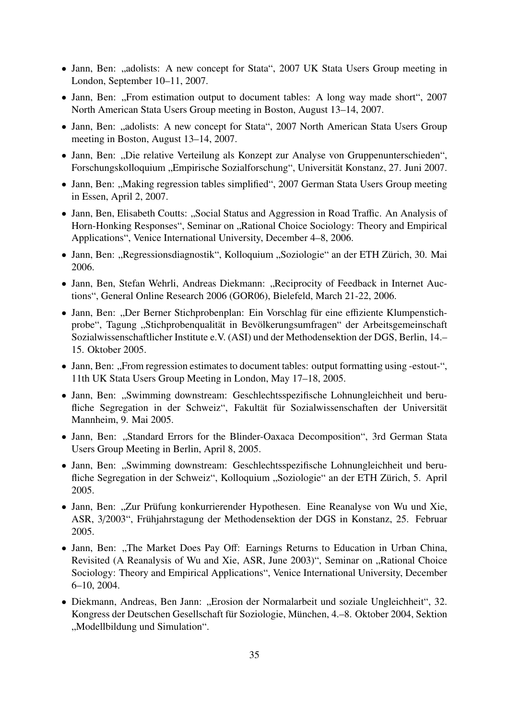- Jann, Ben: "adolists: A new concept for Stata", 2007 UK Stata Users Group meeting in London, September 10–11, 2007.
- Jann, Ben: "From estimation output to document tables: A long way made short", 2007 North American Stata Users Group meeting in Boston, August 13–14, 2007.
- Jann, Ben: "adolists: A new concept for Stata", 2007 North American Stata Users Group meeting in Boston, August 13–14, 2007.
- Jann, Ben: "Die relative Verteilung als Konzept zur Analyse von Gruppenunterschieden", Forschungskolloquium "Empirische Sozialforschung", Universität Konstanz, 27. Juni 2007.
- Jann, Ben: "Making regression tables simplified", 2007 German Stata Users Group meeting in Essen, April 2, 2007.
- Jann, Ben, Elisabeth Coutts: "Social Status and Aggression in Road Traffic. An Analysis of Horn-Honking Responses", Seminar on "Rational Choice Sociology: Theory and Empirical Applications", Venice International University, December 4–8, 2006.
- Jann, Ben: "Regressionsdiagnostik", Kolloquium "Soziologie" an der ETH Zürich, 30. Mai 2006.
- Jann, Ben, Stefan Wehrli, Andreas Diekmann: "Reciprocity of Feedback in Internet Auctions", General Online Research 2006 (GOR06), Bielefeld, March 21-22, 2006.
- Jann, Ben: "Der Berner Stichprobenplan: Ein Vorschlag für eine effiziente Klumpenstichprobe", Tagung "Stichprobenqualität in Bevölkerungsumfragen" der Arbeitsgemeinschaft Sozialwissenschaftlicher Institute e.V. (ASI) und der Methodensektion der DGS, Berlin, 14.– 15. Oktober 2005.
- Jann, Ben: "From regression estimates to document tables: output formatting using -estout-", 11th UK Stata Users Group Meeting in London, May 17–18, 2005.
- Jann, Ben: "Swimming downstream: Geschlechtsspezifische Lohnungleichheit und berufliche Segregation in der Schweiz", Fakultät für Sozialwissenschaften der Universität Mannheim, 9. Mai 2005.
- Jann, Ben: "Standard Errors for the Blinder-Oaxaca Decomposition", 3rd German Stata Users Group Meeting in Berlin, April 8, 2005.
- Jann, Ben: "Swimming downstream: Geschlechtsspezifische Lohnungleichheit und berufliche Segregation in der Schweiz", Kolloquium "Soziologie" an der ETH Zürich, 5. April 2005.
- Jann, Ben: "Zur Prüfung konkurrierender Hypothesen. Eine Reanalyse von Wu und Xie, ASR, 3/2003", Frühjahrstagung der Methodensektion der DGS in Konstanz, 25. Februar 2005.
- Jann, Ben: "The Market Does Pay Off: Earnings Returns to Education in Urban China, Revisited (A Reanalysis of Wu and Xie, ASR, June 2003)", Seminar on "Rational Choice Sociology: Theory and Empirical Applications", Venice International University, December 6–10, 2004.
- Diekmann, Andreas, Ben Jann: "Erosion der Normalarbeit und soziale Ungleichheit", 32. Kongress der Deutschen Gesellschaft für Soziologie, München, 4.–8. Oktober 2004, Sektion "Modellbildung und Simulation".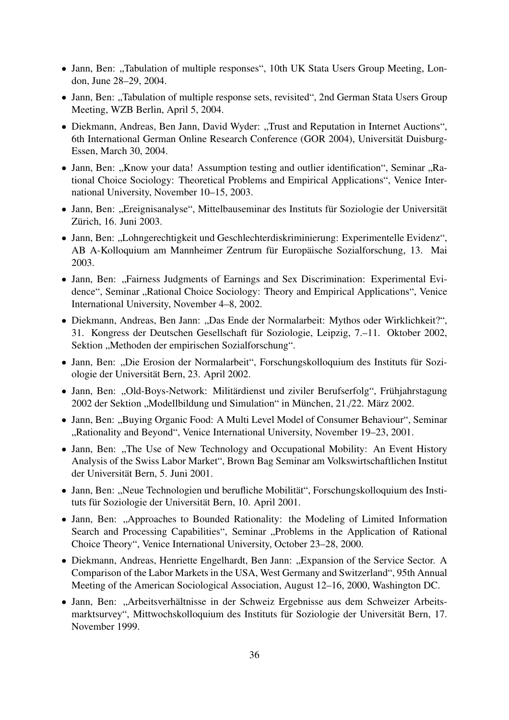- Jann, Ben: "Tabulation of multiple responses", 10th UK Stata Users Group Meeting, London, June 28–29, 2004.
- Jann, Ben: "Tabulation of multiple response sets, revisited", 2nd German Stata Users Group Meeting, WZB Berlin, April 5, 2004.
- Diekmann, Andreas, Ben Jann, David Wyder: "Trust and Reputation in Internet Auctions", 6th International German Online Research Conference (GOR 2004), Universität Duisburg-Essen, March 30, 2004.
- Jann, Ben: "Know your data! Assumption testing and outlier identification", Seminar "Rational Choice Sociology: Theoretical Problems and Empirical Applications", Venice International University, November 10–15, 2003.
- Jann, Ben: "Ereignisanalyse", Mittelbauseminar des Instituts für Soziologie der Universität Zürich, 16. Juni 2003.
- Jann, Ben: "Lohngerechtigkeit und Geschlechterdiskriminierung: Experimentelle Evidenz", AB A-Kolloquium am Mannheimer Zentrum für Europäische Sozialforschung, 13. Mai 2003.
- Jann, Ben: "Fairness Judgments of Earnings and Sex Discrimination: Experimental Evidence", Seminar "Rational Choice Sociology: Theory and Empirical Applications", Venice International University, November 4–8, 2002.
- Diekmann, Andreas, Ben Jann: "Das Ende der Normalarbeit: Mythos oder Wirklichkeit?", 31. Kongress der Deutschen Gesellschaft für Soziologie, Leipzig, 7.–11. Oktober 2002, Sektion "Methoden der empirischen Sozialforschung".
- Jann, Ben: "Die Erosion der Normalarbeit", Forschungskolloquium des Instituts für Soziologie der Universität Bern, 23. April 2002.
- Jann, Ben: "Old-Boys-Network: Militärdienst und ziviler Berufserfolg", Frühjahrstagung 2002 der Sektion "Modellbildung und Simulation" in München, 21./22. März 2002.
- Jann, Ben: "Buying Organic Food: A Multi Level Model of Consumer Behaviour", Seminar "Rationality and Beyond", Venice International University, November 19–23, 2001.
- Jann, Ben: "The Use of New Technology and Occupational Mobility: An Event History Analysis of the Swiss Labor Market", Brown Bag Seminar am Volkswirtschaftlichen Institut der Universität Bern, 5. Juni 2001.
- Jann, Ben: "Neue Technologien und berufliche Mobilität", Forschungskolloquium des Instituts für Soziologie der Universität Bern, 10. April 2001.
- Jann, Ben: "Approaches to Bounded Rationality: the Modeling of Limited Information Search and Processing Capabilities", Seminar "Problems in the Application of Rational Choice Theory", Venice International University, October 23–28, 2000.
- Diekmann, Andreas, Henriette Engelhardt, Ben Jann: "Expansion of the Service Sector. A Comparison of the Labor Markets in the USA, West Germany and Switzerland", 95th Annual Meeting of the American Sociological Association, August 12–16, 2000, Washington DC.
- Jann, Ben: "Arbeitsverhältnisse in der Schweiz Ergebnisse aus dem Schweizer Arbeitsmarktsurvey", Mittwochskolloquium des Instituts für Soziologie der Universität Bern, 17. November 1999.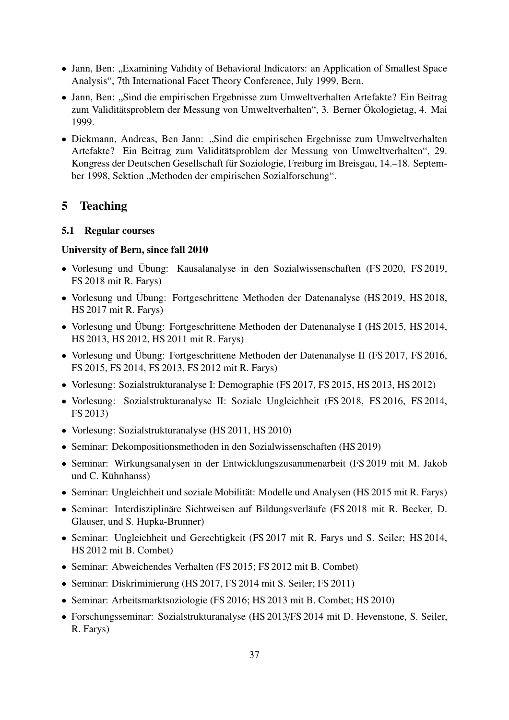- Jann, Ben: "Examining Validity of Behavioral Indicators: an Application of Smallest Space Analysis", 7th International Facet Theory Conference, July 1999, Bern.
- Jann, Ben: "Sind die empirischen Ergebnisse zum Umweltverhalten Artefakte? Ein Beitrag zum Validitätsproblem der Messung von Umweltverhalten", 3. Berner Ökologietag, 4. Mai 1999.
- Diekmann, Andreas, Ben Jann: "Sind die empirischen Ergebnisse zum Umweltverhalten Artefakte? Ein Beitrag zum Validitätsproblem der Messung von Umweltverhalten", 29. Kongress der Deutschen Gesellschaft für Soziologie, Freiburg im Breisgau, 14.–18. September 1998, Sektion "Methoden der empirischen Sozialforschung".

# <span id="page-36-0"></span>5 Teaching

### <span id="page-36-1"></span>5.1 Regular courses

#### University of Bern, since fall 2010

- Vorlesung und Übung: Kausalanalyse in den Sozialwissenschaften (FS 2020, FS 2019, FS 2018 mit R. Farys)
- Vorlesung und Übung: Fortgeschrittene Methoden der Datenanalyse (HS 2019, HS 2018, HS 2017 mit R. Farys)
- Vorlesung und Übung: Fortgeschrittene Methoden der Datenanalyse I (HS 2015, HS 2014, HS 2013, HS 2012, HS 2011 mit R. Farys)
- Vorlesung und Übung: Fortgeschrittene Methoden der Datenanalyse II (FS 2017, FS 2016, FS 2015, FS 2014, FS 2013, FS 2012 mit R. Farys)
- Vorlesung: Sozialstrukturanalyse I: Demographie (FS 2017, FS 2015, HS 2013, HS 2012)
- Vorlesung: Sozialstrukturanalyse II: Soziale Ungleichheit (FS 2018, FS 2016, FS 2014, FS 2013)
- Vorlesung: Sozialstrukturanalyse (HS 2011, HS 2010)
- Seminar: Dekompositionsmethoden in den Sozialwissenschaften (HS 2019)
- Seminar: Wirkungsanalysen in der Entwicklungszusammenarbeit (FS 2019 mit M. Jakob und C. Kühnhanss)
- Seminar: Ungleichheit und soziale Mobilität: Modelle und Analysen (HS 2015 mit R. Farys)
- Seminar: Interdisziplinäre Sichtweisen auf Bildungsverläufe (FS 2018 mit R. Becker, D. Glauser, und S. Hupka-Brunner)
- Seminar: Ungleichheit und Gerechtigkeit (FS 2017 mit R. Farys und S. Seiler; HS 2014, HS 2012 mit B. Combet)
- Seminar: Abweichendes Verhalten (FS 2015; FS 2012 mit B. Combet)
- Seminar: Diskriminierung (HS 2017, FS 2014 mit S. Seiler; FS 2011)
- Seminar: Arbeitsmarktsoziologie (FS 2016; HS 2013 mit B. Combet; HS 2010)
- Forschungsseminar: Sozialstrukturanalyse (HS 2013/FS 2014 mit D. Hevenstone, S. Seiler, R. Farys)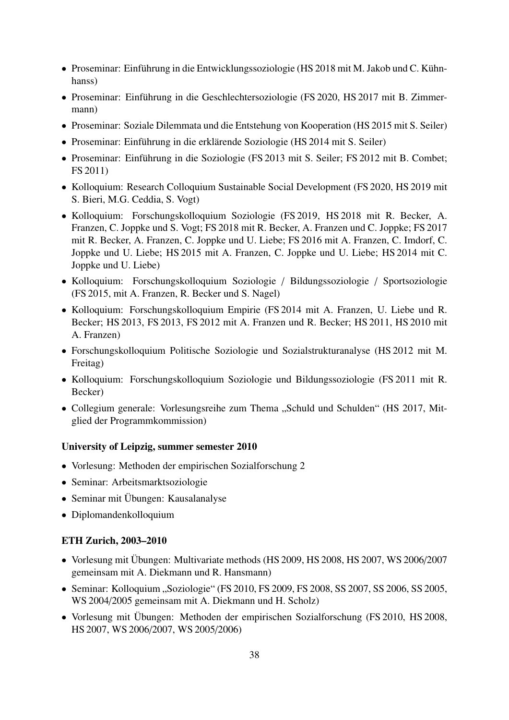- Proseminar: Einführung in die Entwicklungssoziologie (HS 2018 mit M. Jakob und C. Kühnhanss)
- Proseminar: Einführung in die Geschlechtersoziologie (FS 2020, HS 2017 mit B. Zimmermann)
- Proseminar: Soziale Dilemmata und die Entstehung von Kooperation (HS 2015 mit S. Seiler)
- Proseminar: Einführung in die erklärende Soziologie (HS 2014 mit S. Seiler)
- Proseminar: Einführung in die Soziologie (FS 2013 mit S. Seiler; FS 2012 mit B. Combet; FS 2011)
- Kolloquium: Research Colloquium Sustainable Social Development (FS 2020, HS 2019 mit S. Bieri, M.G. Ceddia, S. Vogt)
- Kolloquium: Forschungskolloquium Soziologie (FS 2019, HS 2018 mit R. Becker, A. Franzen, C. Joppke und S. Vogt; FS 2018 mit R. Becker, A. Franzen und C. Joppke; FS 2017 mit R. Becker, A. Franzen, C. Joppke und U. Liebe; FS 2016 mit A. Franzen, C. Imdorf, C. Joppke und U. Liebe; HS 2015 mit A. Franzen, C. Joppke und U. Liebe; HS 2014 mit C. Joppke und U. Liebe)
- Kolloquium: Forschungskolloquium Soziologie / Bildungssoziologie / Sportsoziologie (FS 2015, mit A. Franzen, R. Becker und S. Nagel)
- Kolloquium: Forschungskolloquium Empirie (FS 2014 mit A. Franzen, U. Liebe und R. Becker; HS 2013, FS 2013, FS 2012 mit A. Franzen und R. Becker; HS 2011, HS 2010 mit A. Franzen)
- Forschungskolloquium Politische Soziologie und Sozialstrukturanalyse (HS 2012 mit M. Freitag)
- Kolloquium: Forschungskolloquium Soziologie und Bildungssoziologie (FS 2011 mit R. Becker)
- Collegium generale: Vorlesungsreihe zum Thema "Schuld und Schulden" (HS 2017, Mitglied der Programmkommission)

#### University of Leipzig, summer semester 2010

- Vorlesung: Methoden der empirischen Sozialforschung 2
- Seminar: Arbeitsmarktsoziologie
- Seminar mit Übungen: Kausalanalyse
- Diplomandenkolloquium

#### ETH Zurich, 2003–2010

- Vorlesung mit Übungen: Multivariate methods (HS 2009, HS 2008, HS 2007, WS 2006/2007 gemeinsam mit A. Diekmann und R. Hansmann)
- Seminar: Kolloquium "Soziologie" (FS 2010, FS 2009, FS 2008, SS 2007, SS 2006, SS 2005, WS 2004/2005 gemeinsam mit A. Diekmann und H. Scholz)
- Vorlesung mit Übungen: Methoden der empirischen Sozialforschung (FS 2010, HS 2008, HS 2007, WS 2006/2007, WS 2005/2006)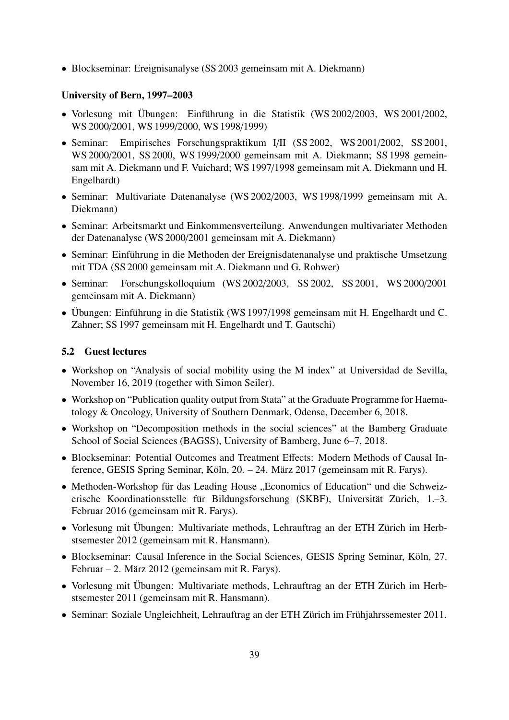• Blockseminar: Ereignisanalyse (SS 2003 gemeinsam mit A. Diekmann)

### University of Bern, 1997–2003

- Vorlesung mit Übungen: Einführung in die Statistik (WS 2002/2003, WS 2001/2002, WS 2000/2001, WS 1999/2000, WS 1998/1999)
- Seminar: Empirisches Forschungspraktikum I/II (SS 2002, WS 2001/2002, SS 2001, WS 2000/2001, SS 2000, WS 1999/2000 gemeinsam mit A. Diekmann; SS 1998 gemeinsam mit A. Diekmann und F. Vuichard; WS 1997/1998 gemeinsam mit A. Diekmann und H. Engelhardt)
- Seminar: Multivariate Datenanalyse (WS 2002/2003, WS 1998/1999 gemeinsam mit A. Diekmann)
- Seminar: Arbeitsmarkt und Einkommensverteilung. Anwendungen multivariater Methoden der Datenanalyse (WS 2000/2001 gemeinsam mit A. Diekmann)
- Seminar: Einführung in die Methoden der Ereignisdatenanalyse und praktische Umsetzung mit TDA (SS 2000 gemeinsam mit A. Diekmann und G. Rohwer)
- Seminar: Forschungskolloquium (WS 2002/2003, SS 2002, SS 2001, WS 2000/2001 gemeinsam mit A. Diekmann)
- Übungen: Einführung in die Statistik (WS 1997/1998 gemeinsam mit H. Engelhardt und C. Zahner; SS 1997 gemeinsam mit H. Engelhardt und T. Gautschi)

## <span id="page-38-0"></span>5.2 Guest lectures

- Workshop on "Analysis of social mobility using the M index" at Universidad de Sevilla, November 16, 2019 (together with Simon Seiler).
- Workshop on "Publication quality output from Stata" at the Graduate Programme for Haematology & Oncology, University of Southern Denmark, Odense, December 6, 2018.
- Workshop on "Decomposition methods in the social sciences" at the Bamberg Graduate School of Social Sciences (BAGSS), University of Bamberg, June 6–7, 2018.
- Blockseminar: Potential Outcomes and Treatment Effects: Modern Methods of Causal Inference, GESIS Spring Seminar, Köln, 20. – 24. März 2017 (gemeinsam mit R. Farys).
- Methoden-Workshop für das Leading House "Economics of Education" und die Schweizerische Koordinationsstelle für Bildungsforschung (SKBF), Universität Zürich, 1.–3. Februar 2016 (gemeinsam mit R. Farys).
- Vorlesung mit Übungen: Multivariate methods, Lehrauftrag an der ETH Zürich im Herbstsemester 2012 (gemeinsam mit R. Hansmann).
- Blockseminar: Causal Inference in the Social Sciences, GESIS Spring Seminar, Köln, 27. Februar – 2. März 2012 (gemeinsam mit R. Farys).
- Vorlesung mit Übungen: Multivariate methods, Lehrauftrag an der ETH Zürich im Herbstsemester 2011 (gemeinsam mit R. Hansmann).
- Seminar: Soziale Ungleichheit, Lehrauftrag an der ETH Zürich im Frühjahrssemester 2011.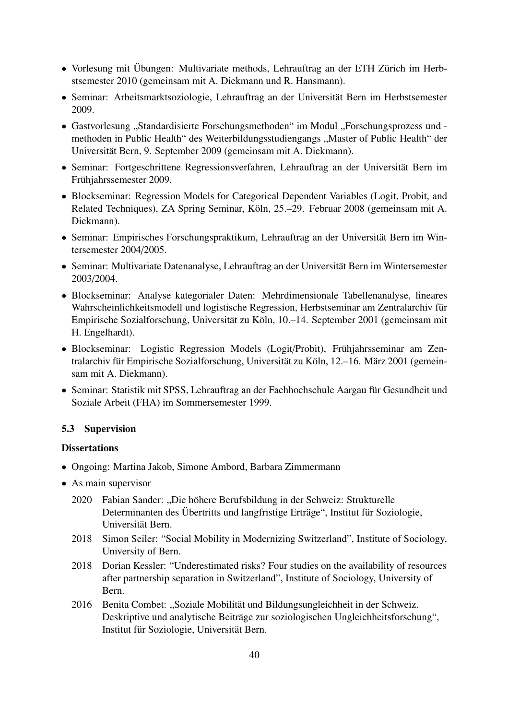- Vorlesung mit Übungen: Multivariate methods, Lehrauftrag an der ETH Zürich im Herbstsemester 2010 (gemeinsam mit A. Diekmann und R. Hansmann).
- Seminar: Arbeitsmarktsoziologie, Lehrauftrag an der Universität Bern im Herbstsemester 2009.
- Gastvorlesung "Standardisierte Forschungsmethoden" im Modul "Forschungsprozess und methoden in Public Health" des Weiterbildungsstudiengangs "Master of Public Health" der Universität Bern, 9. September 2009 (gemeinsam mit A. Diekmann).
- Seminar: Fortgeschrittene Regressionsverfahren, Lehrauftrag an der Universität Bern im Frühjahrssemester 2009.
- Blockseminar: Regression Models for Categorical Dependent Variables (Logit, Probit, and Related Techniques), ZA Spring Seminar, Köln, 25.–29. Februar 2008 (gemeinsam mit A. Diekmann).
- Seminar: Empirisches Forschungspraktikum, Lehrauftrag an der Universität Bern im Wintersemester 2004/2005.
- Seminar: Multivariate Datenanalyse, Lehrauftrag an der Universität Bern im Wintersemester 2003/2004.
- Blockseminar: Analyse kategorialer Daten: Mehrdimensionale Tabellenanalyse, lineares Wahrscheinlichkeitsmodell und logistische Regression, Herbstseminar am Zentralarchiv für Empirische Sozialforschung, Universität zu Köln, 10.–14. September 2001 (gemeinsam mit H. Engelhardt).
- Blockseminar: Logistic Regression Models (Logit/Probit), Frühjahrsseminar am Zentralarchiv für Empirische Sozialforschung, Universität zu Köln, 12.–16. März 2001 (gemeinsam mit A. Diekmann).
- Seminar: Statistik mit SPSS, Lehrauftrag an der Fachhochschule Aargau für Gesundheit und Soziale Arbeit (FHA) im Sommersemester 1999.

#### <span id="page-39-0"></span>5.3 Supervision

#### **Dissertations**

- Ongoing: Martina Jakob, Simone Ambord, Barbara Zimmermann
- As main supervisor
	- 2020 Fabian Sander: "Die höhere Berufsbildung in der Schweiz: Strukturelle Determinanten des Übertritts und langfristige Erträge", Institut für Soziologie, Universität Bern.
	- 2018 Simon Seiler: "Social Mobility in Modernizing Switzerland", Institute of Sociology, University of Bern.
	- 2018 Dorian Kessler: "Underestimated risks? Four studies on the availability of resources after partnership separation in Switzerland", Institute of Sociology, University of Bern.
	- 2016 Benita Combet: "Soziale Mobilität und Bildungsungleichheit in der Schweiz. Deskriptive und analytische Beiträge zur soziologischen Ungleichheitsforschung", Institut für Soziologie, Universität Bern.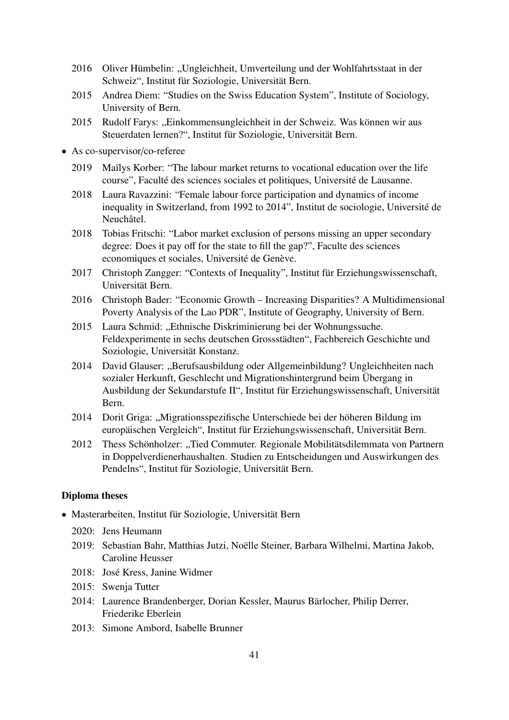- 2016 Oliver Hümbelin: "Ungleichheit, Umverteilung und der Wohlfahrtsstaat in der Schweiz", Institut für Soziologie, Universität Bern.
- 2015 Andrea Diem: "Studies on the Swiss Education System", Institute of Sociology, University of Bern.
- 2015 Rudolf Farys: "Einkommensungleichheit in der Schweiz. Was können wir aus Steuerdaten lernen?", Institut für Soziologie, Universität Bern.
- As co-supervisor/co-referee
	- 2019 Maïlys Korber: "The labour market returns to vocational education over the life course", Faculté des sciences sociales et politiques, Université de Lausanne.
	- 2018 Laura Ravazzini: "Female labour force participation and dynamics of income inequality in Switzerland, from 1992 to 2014", Institut de sociologie, Université de Neuchâtel.
	- 2018 Tobias Fritschi: "Labor market exclusion of persons missing an upper secondary degree: Does it pay off for the state to fill the gap?", Faculte des sciences economiques et sociales, Université de Genève.
	- 2017 Christoph Zangger: "Contexts of Inequality", Institut für Erziehungswissenschaft, Universität Bern.
	- 2016 Christoph Bader: "Economic Growth Increasing Disparities? A Multidimensional Poverty Analysis of the Lao PDR", Institute of Geography, University of Bern.
	- 2015 Laura Schmid: "Ethnische Diskriminierung bei der Wohnungssuche. Feldexperimente in sechs deutschen Grossstädten", Fachbereich Geschichte und Soziologie, Universität Konstanz.
	- 2014 David Glauser: "Berufsausbildung oder Allgemeinbildung? Ungleichheiten nach sozialer Herkunft, Geschlecht und Migrationshintergrund beim Übergang in Ausbildung der Sekundarstufe II", Institut für Erziehungswissenschaft, Universität Bern.
	- 2014 Dorit Griga: "Migrationsspezifische Unterschiede bei der höheren Bildung im europäischen Vergleich", Institut für Erziehungswissenschaft, Universität Bern.
	- 2012 Thess Schönholzer: "Tied Commuter. Regionale Mobilitätsdilemmata von Partnern in Doppelverdienerhaushalten. Studien zu Entscheidungen und Auswirkungen des Pendelns", Institut für Soziologie, Universität Bern.

#### Diploma theses

- Masterarbeiten, Institut für Soziologie, Universität Bern
	- 2020: Jens Heumann
	- 2019: Sebastian Bahr, Matthias Jutzi, Noëlle Steiner, Barbara Wilhelmi, Martina Jakob, Caroline Heusser
	- 2018: José Kress, Janine Widmer
	- 2015: Swenja Tutter
	- 2014: Laurence Brandenberger, Dorian Kessler, Maurus Bärlocher, Philip Derrer, Friederike Eberlein
	- 2013: Simone Ambord, Isabelle Brunner